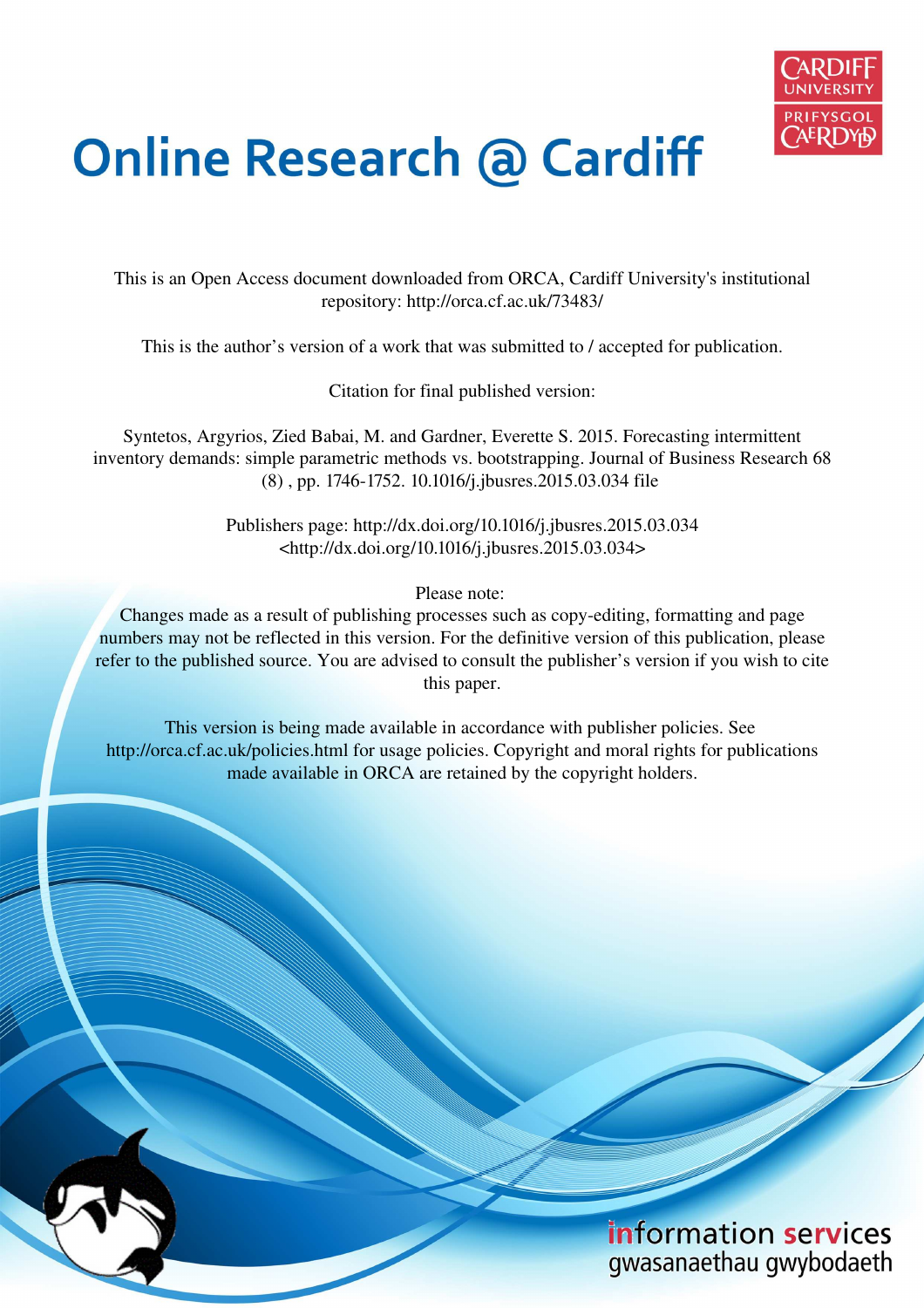

# **Online Research @ Cardiff**

This is an Open Access document downloaded from ORCA, Cardiff University's institutional repository: http://orca.cf.ac.uk/73483/

This is the author's version of a work that was submitted to / accepted for publication.

Citation for final published version:

Syntetos, Argyrios, Zied Babai, M. and Gardner, Everette S. 2015. Forecasting intermittent inventory demands: simple parametric methods vs. bootstrapping. Journal of Business Research 68 (8) , pp. 1746-1752. 10.1016/j.jbusres.2015.03.034 file

> Publishers page: http://dx.doi.org/10.1016/j.jbusres.2015.03.034 <http://dx.doi.org/10.1016/j.jbusres.2015.03.034>

> > Please note:

Changes made as a result of publishing processes such as copy-editing, formatting and page numbers may not be reflected in this version. For the definitive version of this publication, please refer to the published source. You are advised to consult the publisher's version if you wish to cite this paper.

This version is being made available in accordance with publisher policies. See http://orca.cf.ac.uk/policies.html for usage policies. Copyright and moral rights for publications made available in ORCA are retained by the copyright holders.

# information services gwasanaethau gwybodaeth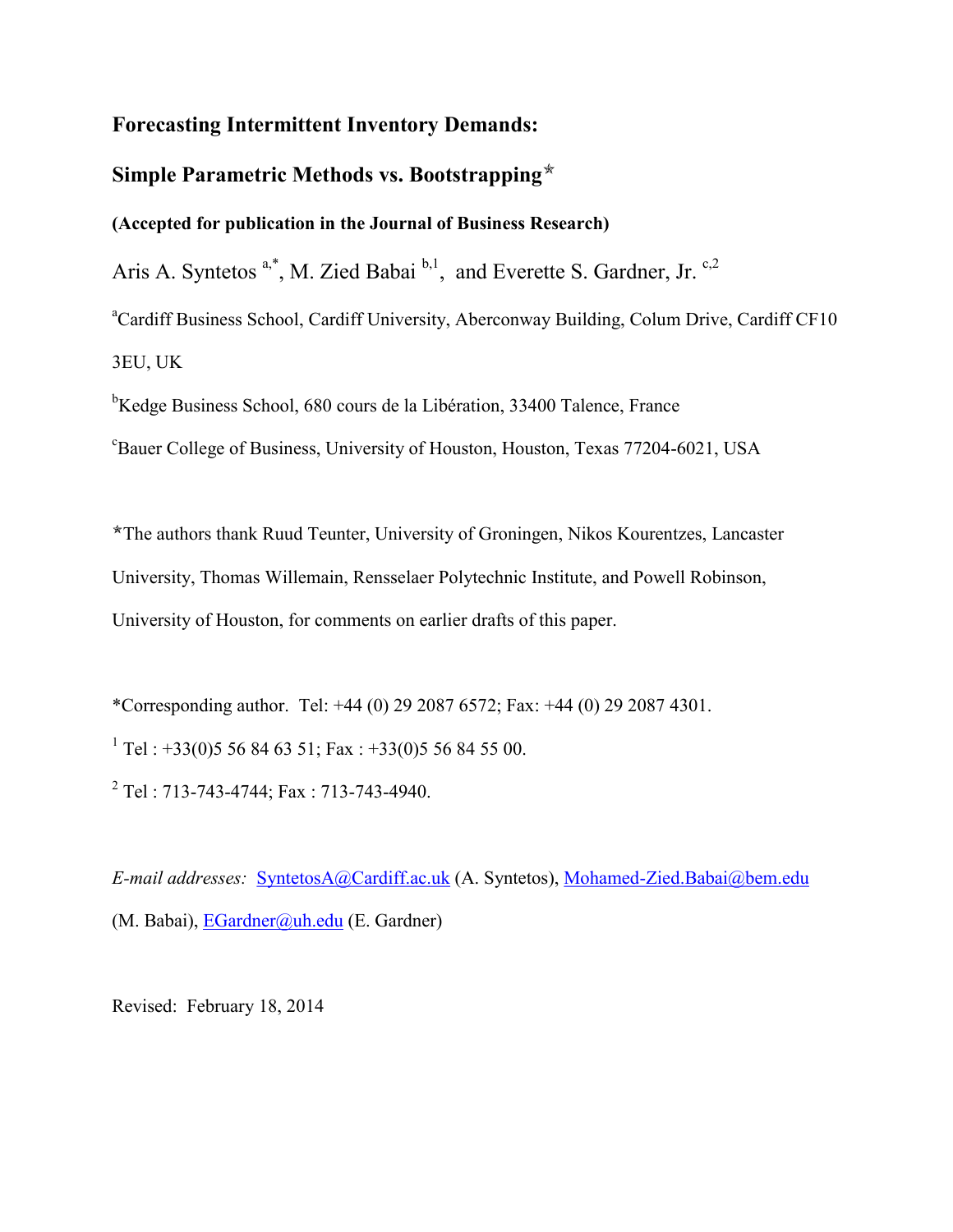## **Forecasting Intermittent Inventory Demands:**

# **Simple Parametric Methods vs. Bootstrapping**

### **(Accepted for publication in the Journal of Business Research)**

Aris A. Syntetos  $a^*$ , M. Zied Babai  $b,1$ , and Everette S. Gardner, Jr.  $c,2$ 

<sup>a</sup>Cardiff Business School, Cardiff University, Aberconway Building, Colum Drive, Cardiff CF10 3EU, UK

<sup>b</sup>Kedge Business School, 680 cours de la Libération, 33400 Talence, France <sup>c</sup>Bauer College of Business, University of Houston, Houston, Texas 77204-6021, USA

The authors thank Ruud Teunter, University of Groningen, Nikos Kourentzes, Lancaster University, Thomas Willemain, Rensselaer Polytechnic Institute, and Powell Robinson, University of Houston, for comments on earlier drafts of this paper.

\*Corresponding author. Tel: +44 (0) 29 2087 6572; Fax: +44 (0) 29 2087 4301.

<sup>1</sup> Tel : +33(0)5 56 84 63 51; Fax : +33(0)5 56 84 55 00.

<sup>2</sup> Tel : 713-743-4744; Fax : 713-743-4940.

*E-mail addresses:* [SyntetosA@Cardiff.ac.uk](mailto:SyntetosA@Cardiff.ac.uk) (A. Syntetos), [Mohamed-Zied.Babai@bem.edu](mailto:Mohamed-Zied.Babai@bem.edu) (M. Babai), [EGardner@uh.edu](mailto:EGardner@uh.edu) (E. Gardner)

Revised: February 18, 2014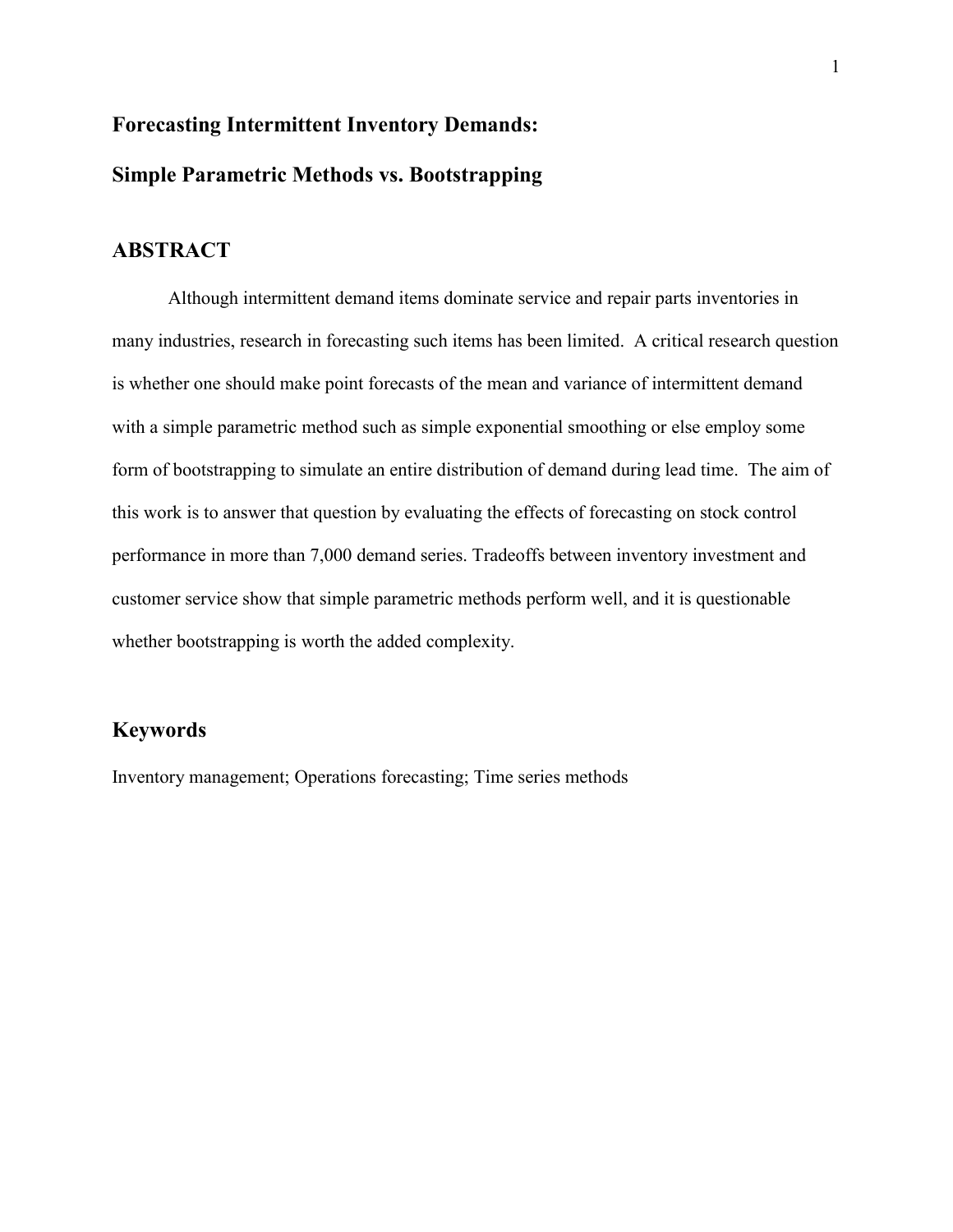# **Forecasting Intermittent Inventory Demands: Simple Parametric Methods vs. Bootstrapping**

# **ABSTRACT**

 Although intermittent demand items dominate service and repair parts inventories in many industries, research in forecasting such items has been limited. A critical research question is whether one should make point forecasts of the mean and variance of intermittent demand with a simple parametric method such as simple exponential smoothing or else employ some form of bootstrapping to simulate an entire distribution of demand during lead time. The aim of this work is to answer that question by evaluating the effects of forecasting on stock control performance in more than 7,000 demand series. Tradeoffs between inventory investment and customer service show that simple parametric methods perform well, and it is questionable whether bootstrapping is worth the added complexity.

## **Keywords**

Inventory management; Operations forecasting; Time series methods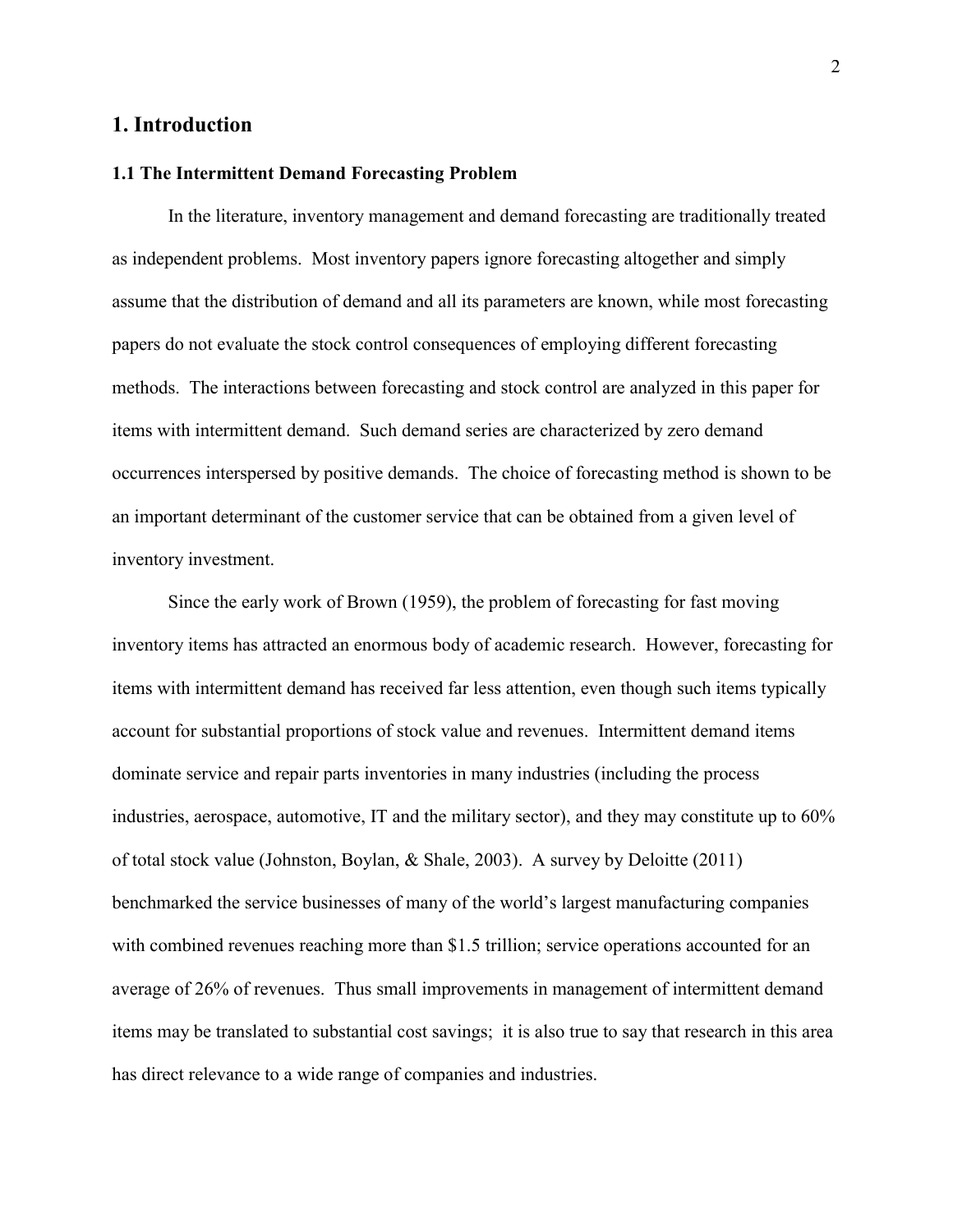#### **1. Introduction**

#### **1.1 The Intermittent Demand Forecasting Problem**

 In the literature, inventory management and demand forecasting are traditionally treated as independent problems. Most inventory papers ignore forecasting altogether and simply assume that the distribution of demand and all its parameters are known, while most forecasting papers do not evaluate the stock control consequences of employing different forecasting methods. The interactions between forecasting and stock control are analyzed in this paper for items with intermittent demand. Such demand series are characterized by zero demand occurrences interspersed by positive demands. The choice of forecasting method is shown to be an important determinant of the customer service that can be obtained from a given level of inventory investment.

 Since the early work of Brown (1959), the problem of forecasting for fast moving inventory items has attracted an enormous body of academic research. However, forecasting for items with intermittent demand has received far less attention, even though such items typically account for substantial proportions of stock value and revenues. Intermittent demand items dominate service and repair parts inventories in many industries (including the process industries, aerospace, automotive, IT and the military sector), and they may constitute up to 60% of total stock value (Johnston, Boylan, & Shale, 2003). A survey by Deloitte (2011) benchmarked the service businesses of many of the world's largest manufacturing companies with combined revenues reaching more than \$1.5 trillion; service operations accounted for an average of 26% of revenues. Thus small improvements in management of intermittent demand items may be translated to substantial cost savings; it is also true to say that research in this area has direct relevance to a wide range of companies and industries.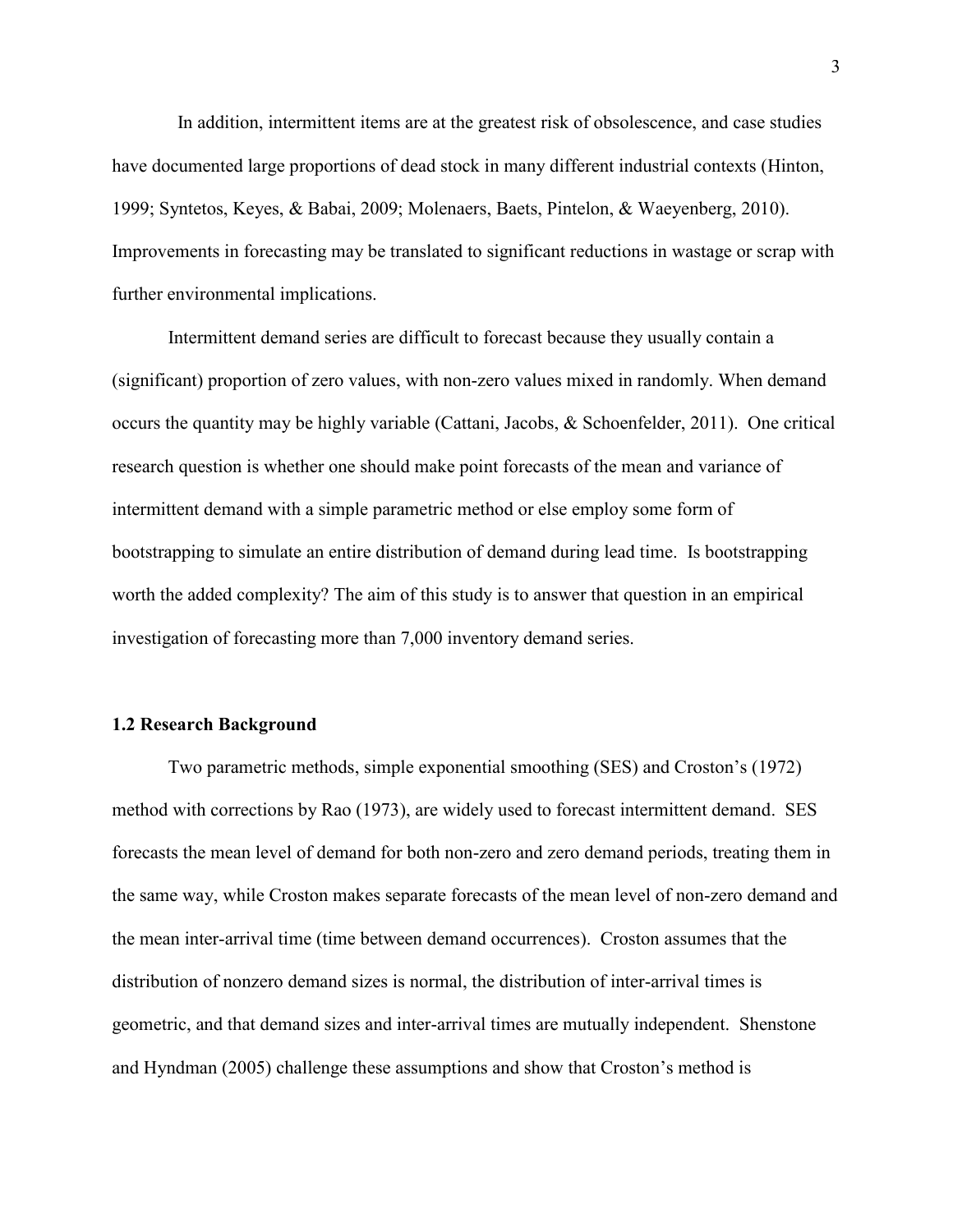In addition, intermittent items are at the greatest risk of obsolescence, and case studies have documented large proportions of dead stock in many different industrial contexts (Hinton, 1999; Syntetos, Keyes, & Babai, 2009; Molenaers, Baets, Pintelon, & Waeyenberg, 2010). Improvements in forecasting may be translated to significant reductions in wastage or scrap with further environmental implications.

Intermittent demand series are difficult to forecast because they usually contain a (significant) proportion of zero values, with non-zero values mixed in randomly. When demand occurs the quantity may be highly variable (Cattani, Jacobs, & Schoenfelder, 2011). One critical research question is whether one should make point forecasts of the mean and variance of intermittent demand with a simple parametric method or else employ some form of bootstrapping to simulate an entire distribution of demand during lead time. Is bootstrapping worth the added complexity? The aim of this study is to answer that question in an empirical investigation of forecasting more than 7,000 inventory demand series.

#### **1.2 Research Background**

Two parametric methods, simple exponential smoothing (SES) and Croston's (1972) method with corrections by Rao (1973), are widely used to forecast intermittent demand. SES forecasts the mean level of demand for both non-zero and zero demand periods, treating them in the same way, while Croston makes separate forecasts of the mean level of non-zero demand and the mean inter-arrival time (time between demand occurrences). Croston assumes that the distribution of nonzero demand sizes is normal, the distribution of inter-arrival times is geometric, and that demand sizes and inter-arrival times are mutually independent. [Shenstone](http://www.sciencedirect.com/science/article/pii/S0169207004000792#bib16#bib16)  [and Hyndman \(2005](http://www.sciencedirect.com/science/article/pii/S0169207004000792#bib16#bib16)) challenge these assumptions and show that Croston's method is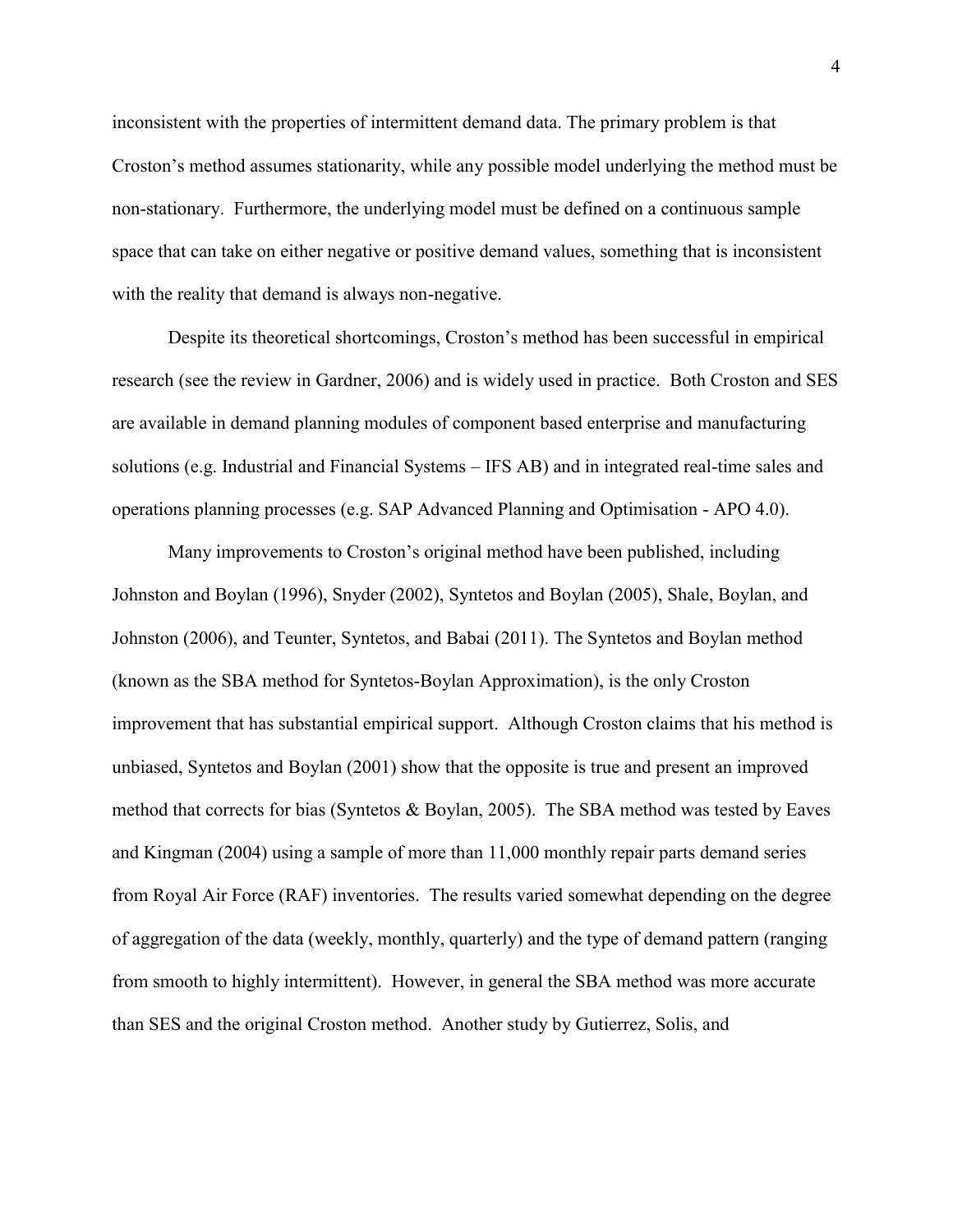inconsistent with the properties of intermittent demand data. The primary problem is that Croston's method assumes stationarity, while any possible model underlying the method must be non-stationary. Furthermore, the underlying model must be defined on a continuous sample space that can take on either negative or positive demand values, something that is inconsistent with the reality that demand is always non-negative.

Despite its theoretical shortcomings, Croston's method has been successful in empirical research (see the review in Gardner, 2006) and is widely used in practice. Both Croston and SES are available in demand planning modules of component based enterprise and manufacturing solutions (e.g. Industrial and Financial Systems – IFS AB) and in integrated real-time sales and operations planning processes (e.g. SAP Advanced Planning and Optimisation - APO 4.0).

Many improvements to Croston's original method have been published, including Johnston and Boylan (1996), Snyder (2002), Syntetos and Boylan (2005), Shale, Boylan, and Johnston (2006), and Teunter, Syntetos, and Babai (2011). The Syntetos and Boylan method (known as the SBA method for Syntetos-Boylan Approximation), is the only Croston improvement that has substantial empirical support. Although Croston claims that his method is unbiased, Syntetos and Boylan (2001) show that the opposite is true and present an improved method that corrects for bias (Syntetos & Boylan, 2005). The SBA method was tested by Eaves and Kingman (2004) using a sample of more than 11,000 monthly repair parts demand series from Royal Air Force (RAF) inventories. The results varied somewhat depending on the degree of aggregation of the data (weekly, monthly, quarterly) and the type of demand pattern (ranging from smooth to highly intermittent). However, in general the SBA method was more accurate than SES and the original Croston method. Another study by Gutierrez, Solis, and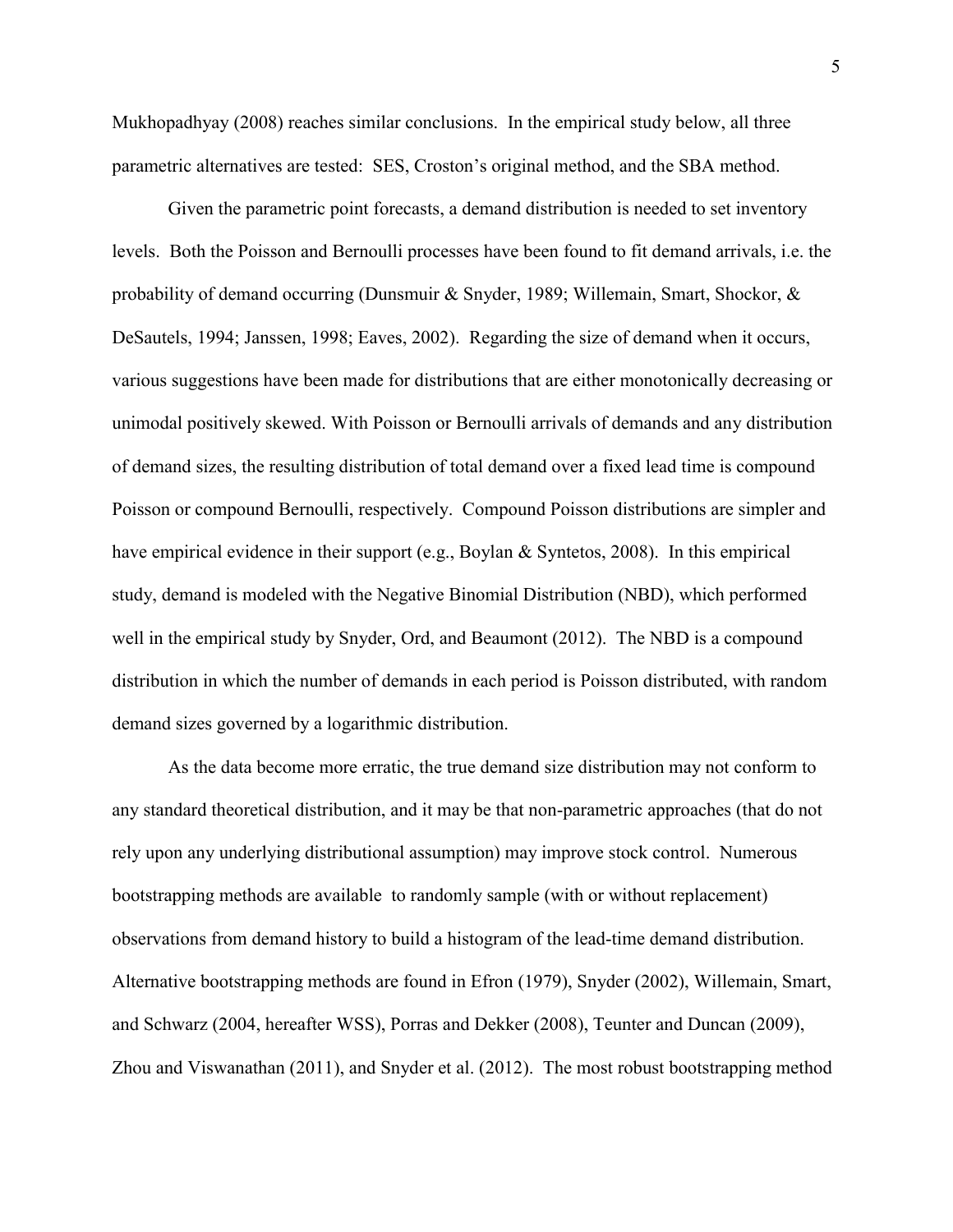Mukhopadhyay (2008) reaches similar conclusions. In the empirical study below, all three parametric alternatives are tested: SES, Croston's original method, and the SBA method.

Given the parametric point forecasts, a demand distribution is needed to set inventory levels. Both the Poisson and Bernoulli processes have been found to fit demand arrivals, i.e. the probability of demand occurring (Dunsmuir & Snyder, 1989; Willemain, Smart, Shockor, & DeSautels, 1994; Janssen, 1998; Eaves, 2002). Regarding the size of demand when it occurs, various suggestions have been made for distributions that are either monotonically decreasing or unimodal positively skewed. With Poisson or Bernoulli arrivals of demands and any distribution of demand sizes, the resulting distribution of total demand over a fixed lead time is compound Poisson or compound Bernoulli, respectively. Compound Poisson distributions are simpler and have empirical evidence in their support (e.g., Boylan & Syntetos, 2008). In this empirical study, demand is modeled with the Negative Binomial Distribution (NBD), which performed well in the empirical study by Snyder, Ord, and Beaumont (2012). The NBD is a compound distribution in which the number of demands in each period is Poisson distributed, with random demand sizes governed by a logarithmic distribution.

As the data become more erratic, the true demand size distribution may not conform to any standard theoretical distribution, and it may be that non-parametric approaches (that do not rely upon any underlying distributional assumption) may improve stock control. Numerous bootstrapping methods are available to randomly sample (with or without replacement) observations from demand history to build a histogram of the lead-time demand distribution. Alternative bootstrapping methods are found in Efron (1979), Snyder (2002), Willemain, Smart, and Schwarz (2004, hereafter WSS), Porras and Dekker (2008), Teunter and Duncan (2009), Zhou and Viswanathan (2011), and Snyder et al. (2012). The most robust bootstrapping method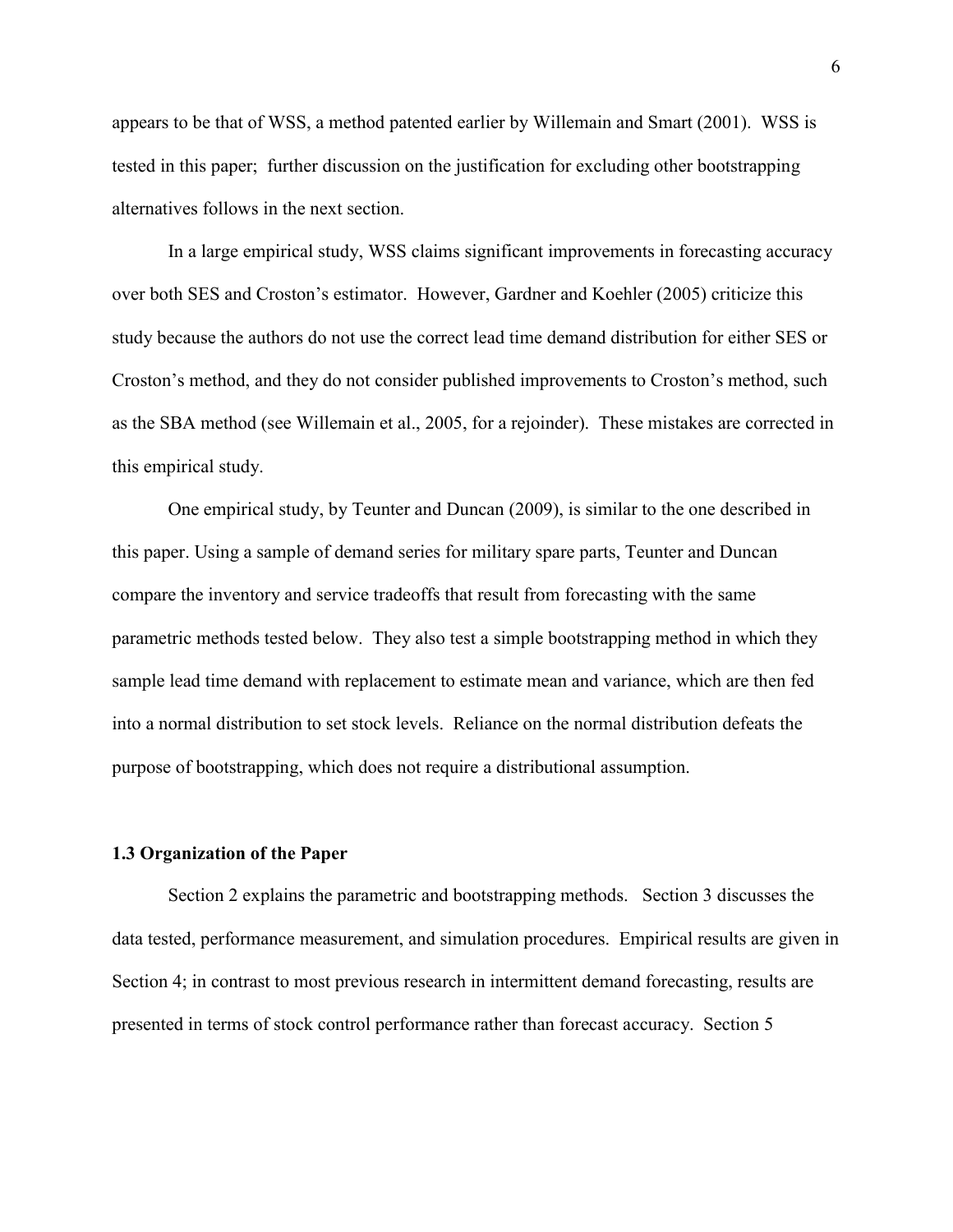appears to be that of WSS, a method patented earlier by Willemain and Smart (2001). WSS is tested in this paper; further discussion on the justification for excluding other bootstrapping alternatives follows in the next section.

In a large empirical study, WSS claims significant improvements in forecasting accuracy over both SES and Croston's estimator. However, Gardner and Koehler (2005) criticize this study because the authors do not use the correct lead time demand distribution for either SES or Croston's method, and they do not consider published improvements to Croston's method, such as the SBA method (see Willemain et al., 2005, for a rejoinder). These mistakes are corrected in this empirical study.

One empirical study, by Teunter and Duncan (2009), is similar to the one described in this paper. Using a sample of demand series for military spare parts, Teunter and Duncan compare the inventory and service tradeoffs that result from forecasting with the same parametric methods tested below. They also test a simple bootstrapping method in which they sample lead time demand with replacement to estimate mean and variance, which are then fed into a normal distribution to set stock levels. Reliance on the normal distribution defeats the purpose of bootstrapping, which does not require a distributional assumption.

#### **1.3 Organization of the Paper**

Section 2 explains the parametric and bootstrapping methods. Section 3 discusses the data tested, performance measurement, and simulation procedures. Empirical results are given in Section 4; in contrast to most previous research in intermittent demand forecasting, results are presented in terms of stock control performance rather than forecast accuracy. Section 5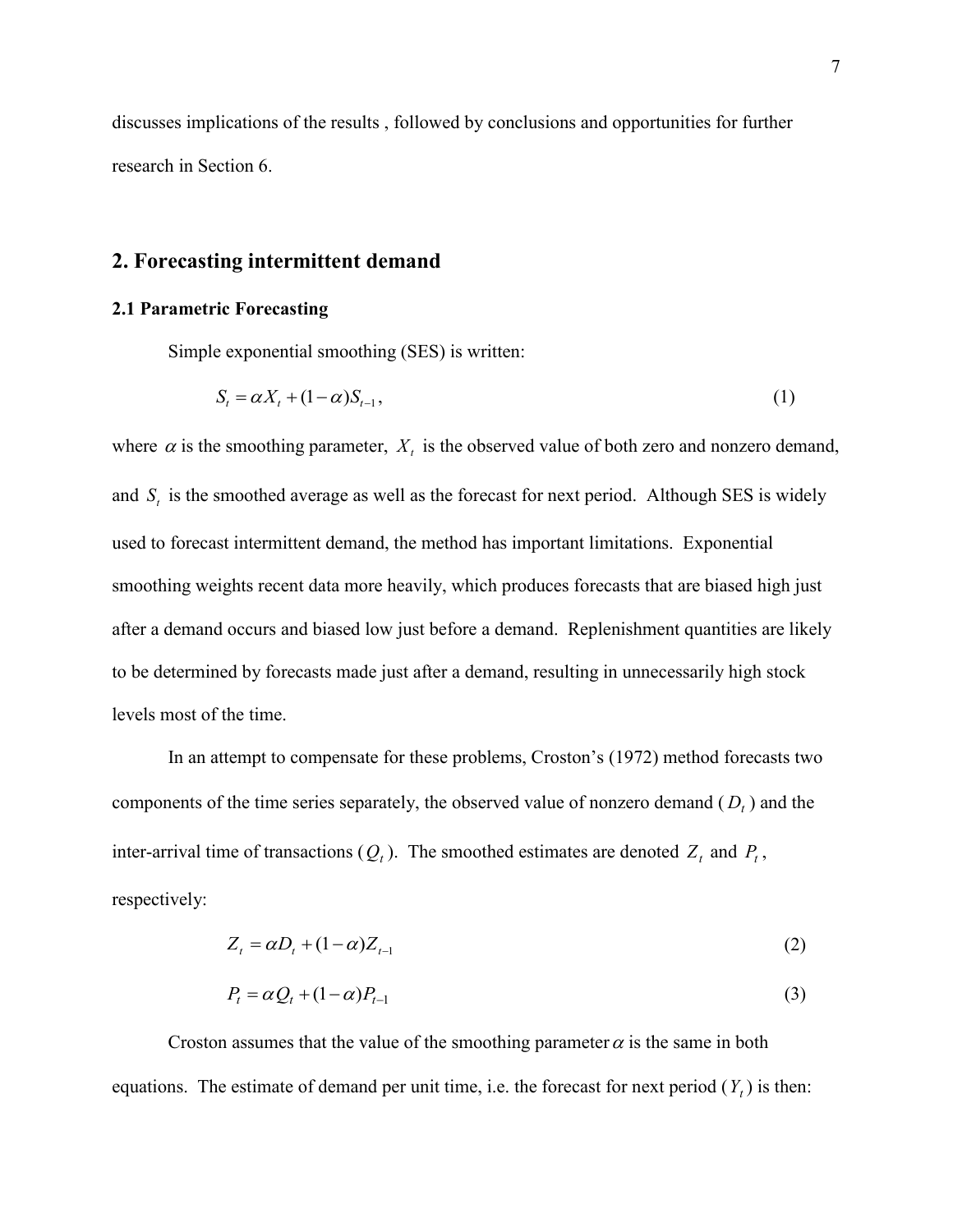discusses implications of the results , followed by conclusions and opportunities for further research in Section 6.

#### **2. Forecasting intermittent demand**

#### **2.1 Parametric Forecasting**

Simple exponential smoothing (SES) is written:

$$
S_t = \alpha X_t + (1 - \alpha) S_{t-1},\tag{1}
$$

where  $\alpha$  is the smoothing parameter,  $X_t$  is the observed value of both zero and nonzero demand, and  $S_t$  is the smoothed average as well as the forecast for next period. Although SES is widely used to forecast intermittent demand, the method has important limitations. Exponential smoothing weights recent data more heavily, which produces forecasts that are biased high just after a demand occurs and biased low just before a demand. Replenishment quantities are likely to be determined by forecasts made just after a demand, resulting in unnecessarily high stock levels most of the time.

In an attempt to compensate for these problems, Croston's (1972) method forecasts two components of the time series separately, the observed value of nonzero demand ( *D<sup>t</sup>* ) and the inter-arrival time of transactions  $(Q_t)$ . The smoothed estimates are denoted  $Z_t$  and  $P_t$ , respectively:

$$
Z_t = \alpha D_t + (1 - \alpha) Z_{t-1} \tag{2}
$$

$$
P_t = \alpha Q_t + (1 - \alpha) P_{t-1} \tag{3}
$$

Croston assumes that the value of the smoothing parameter  $\alpha$  is the same in both equations. The estimate of demand per unit time, i.e. the forecast for next period  $(Y_t)$  is then: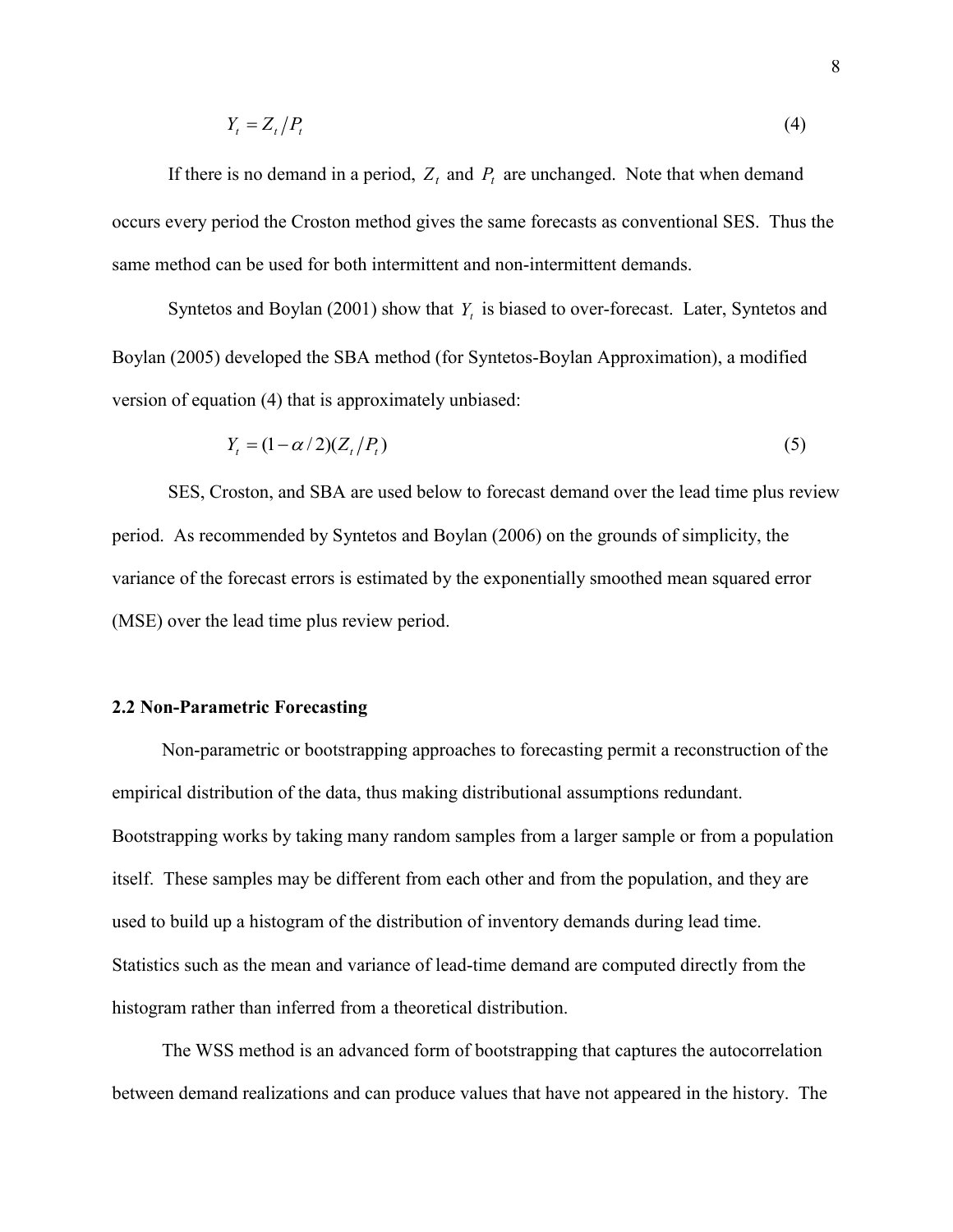$$
Y_t = Z_t / P_t \tag{4}
$$

If there is no demand in a period,  $Z_t$  and  $P_t$  are unchanged. Note that when demand occurs every period the Croston method gives the same forecasts as conventional SES. Thus the same method can be used for both intermittent and non-intermittent demands.

Syntetos and Boylan (2001) show that *Y<sup>t</sup>* is biased to over-forecast. Later, Syntetos and Boylan (2005) developed the SBA method (for Syntetos-Boylan Approximation), a modified version of equation (4) that is approximately unbiased:

$$
Y_t = (1 - \alpha/2)(Z_t/P_t) \tag{5}
$$

 SES, Croston, and SBA are used below to forecast demand over the lead time plus review period. As recommended by Syntetos and Boylan (2006) on the grounds of simplicity, the variance of the forecast errors is estimated by the exponentially smoothed mean squared error (MSE) over the lead time plus review period.

#### **2.2 Non-Parametric Forecasting**

Non-parametric or bootstrapping approaches to forecasting permit a reconstruction of the empirical distribution of the data, thus making distributional assumptions redundant. Bootstrapping works by taking many random samples from a larger sample or from a population itself. These samples may be different from each other and from the population, and they are used to build up a histogram of the distribution of inventory demands during lead time. Statistics such as the mean and variance of lead-time demand are computed directly from the histogram rather than inferred from a theoretical distribution.

The WSS method is an advanced form of bootstrapping that captures the autocorrelation between demand realizations and can produce values that have not appeared in the history. The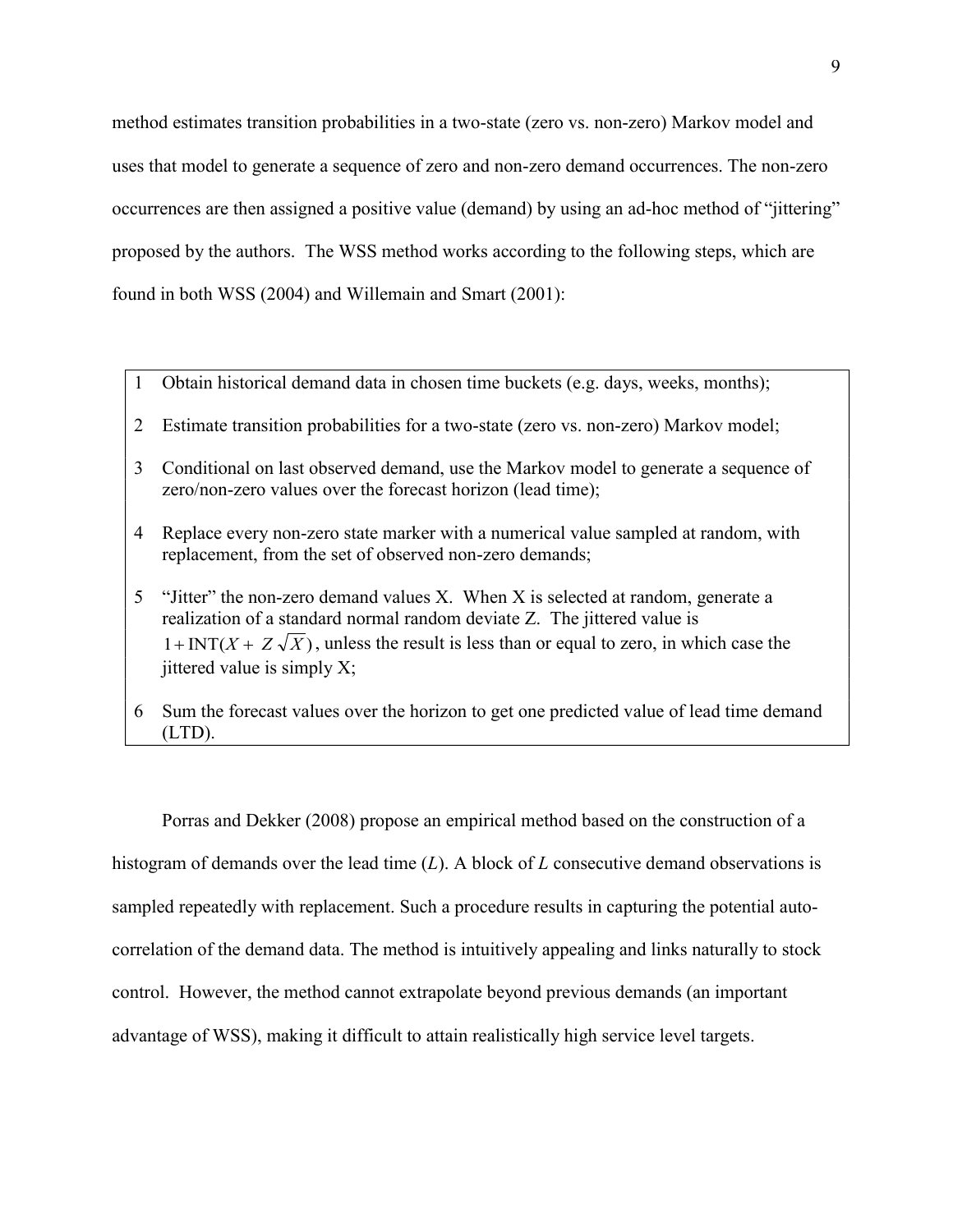method estimates transition probabilities in a two-state (zero vs. non-zero) Markov model and uses that model to generate a sequence of zero and non-zero demand occurrences. The non-zero occurrences are then assigned a positive value (demand) by using an ad-hoc method of "jittering" proposed by the authors. The WSS method works according to the following steps, which are found in both WSS (2004) and Willemain and Smart (2001):

- 1 Obtain historical demand data in chosen time buckets (e.g. days, weeks, months);
- 2 Estimate transition probabilities for a two-state (zero vs. non-zero) Markov model;
- 3 Conditional on last observed demand, use the Markov model to generate a sequence of zero/non-zero values over the forecast horizon (lead time);
- 4 Replace every non-zero state marker with a numerical value sampled at random, with replacement, from the set of observed non-zero demands;
- 5 "Jitter" the non-zero demand values X. When X is selected at random, generate a realization of a standard normal random deviate Z. The jittered value is  $1 + INT(X + Z\sqrt{X})$ , unless the result is less than or equal to zero, in which case the iittered value is simply  $X$ ;
- 6 Sum the forecast values over the horizon to get one predicted value of lead time demand (LTD).

Porras and Dekker (2008) propose an empirical method based on the construction of a histogram of demands over the lead time (*L*). A block of *L* consecutive demand observations is sampled repeatedly with replacement. Such a procedure results in capturing the potential autocorrelation of the demand data. The method is intuitively appealing and links naturally to stock control. However, the method cannot extrapolate beyond previous demands (an important advantage of WSS), making it difficult to attain realistically high service level targets.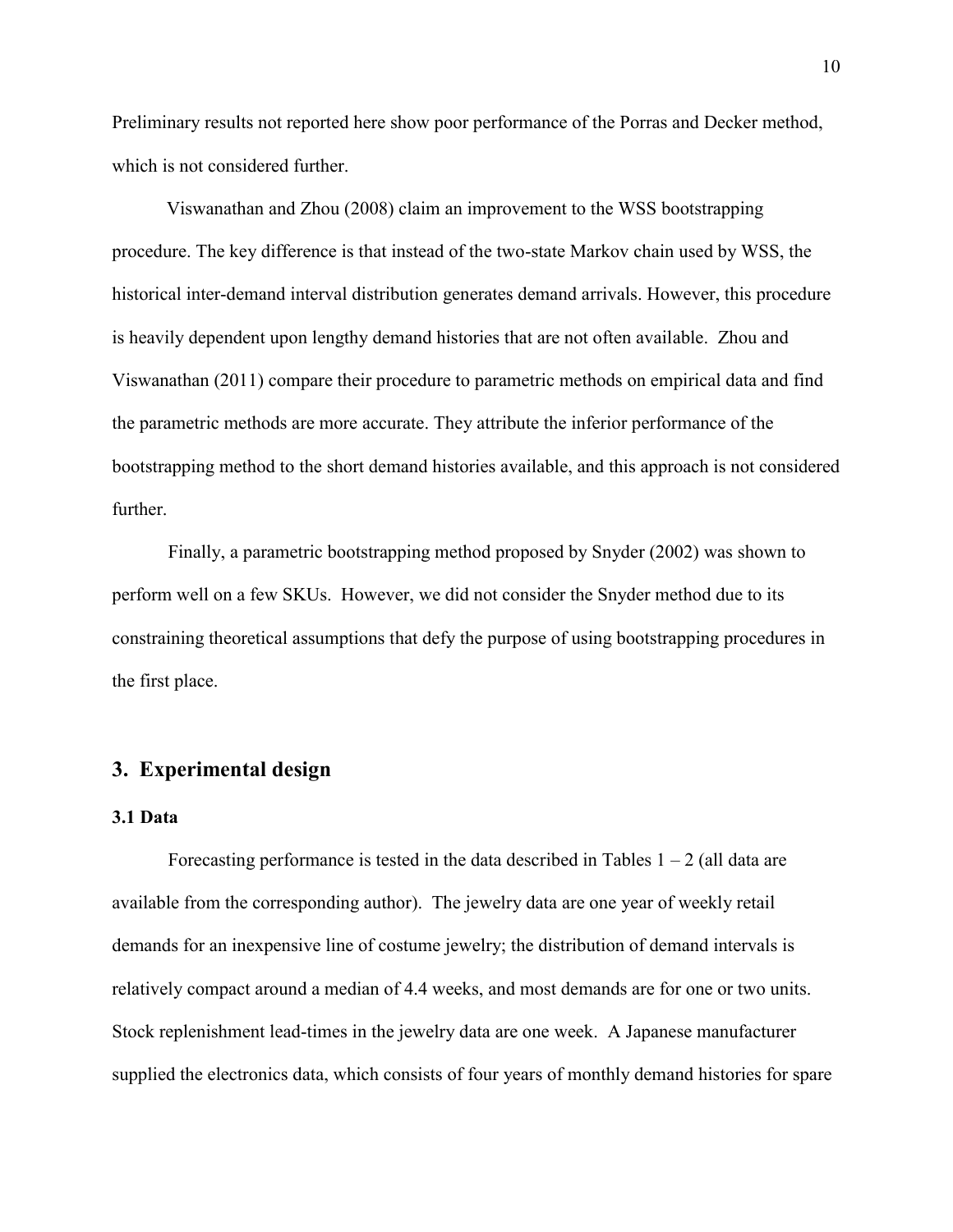Preliminary results not reported here show poor performance of the Porras and Decker method, which is not considered further.

 Viswanathan and Zhou (2008) claim an improvement to the WSS bootstrapping procedure. The key difference is that instead of the two-state Markov chain used by WSS, the historical inter-demand interval distribution generates demand arrivals. However, this procedure is heavily dependent upon lengthy demand histories that are not often available. Zhou and Viswanathan (2011) compare their procedure to parametric methods on empirical data and find the parametric methods are more accurate. They attribute the inferior performance of the bootstrapping method to the short demand histories available, and this approach is not considered further.

Finally, a parametric bootstrapping method proposed by Snyder (2002) was shown to perform well on a few SKUs. However, we did not consider the Snyder method due to its constraining theoretical assumptions that defy the purpose of using bootstrapping procedures in the first place.

#### **3. Experimental design**

#### **3.1 Data**

Forecasting performance is tested in the data described in Tables  $1 - 2$  (all data are available from the corresponding author). The jewelry data are one year of weekly retail demands for an inexpensive line of costume jewelry; the distribution of demand intervals is relatively compact around a median of 4.4 weeks, and most demands are for one or two units. Stock replenishment lead-times in the jewelry data are one week. A Japanese manufacturer supplied the electronics data, which consists of four years of monthly demand histories for spare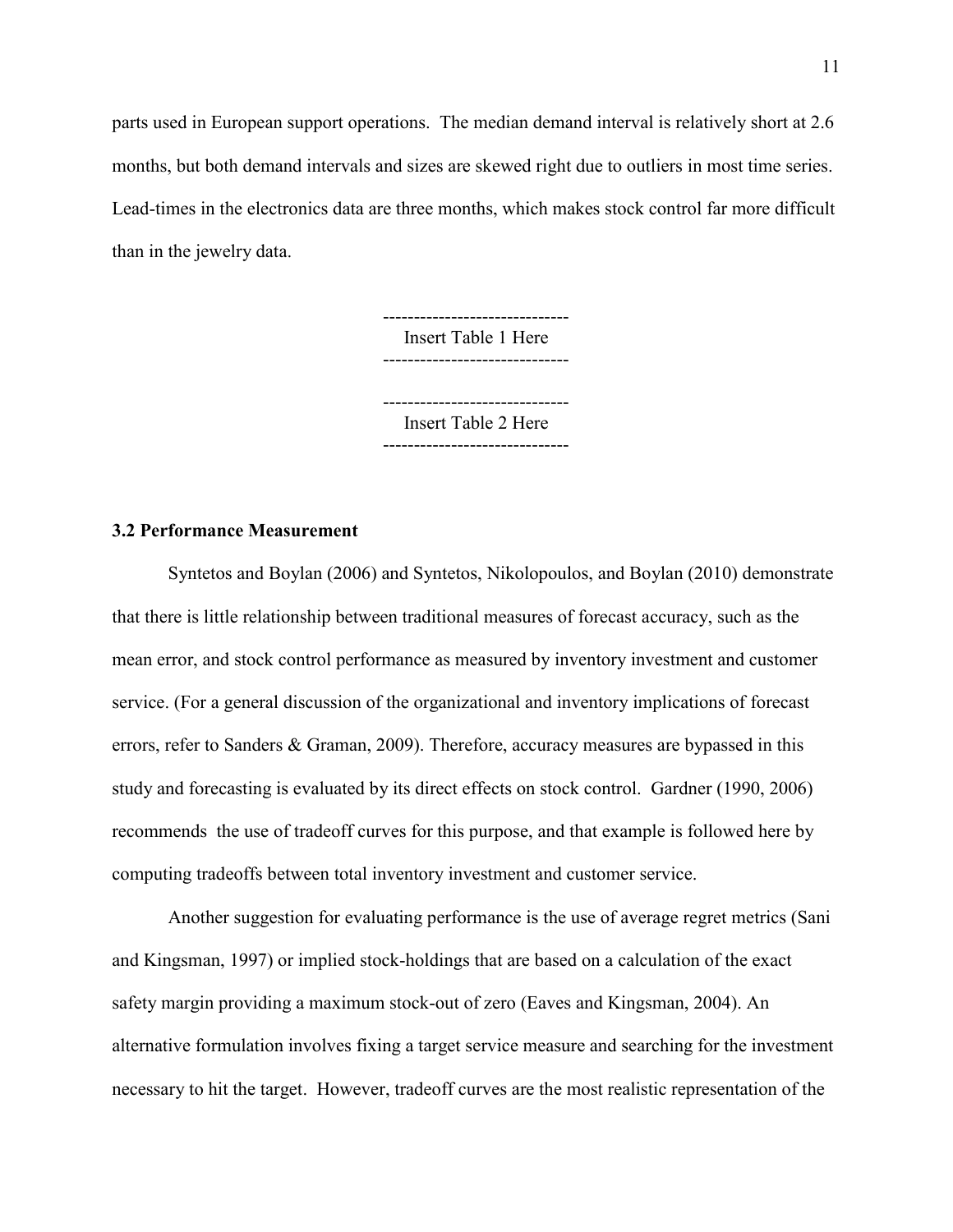parts used in European support operations. The median demand interval is relatively short at 2.6 months, but both demand intervals and sizes are skewed right due to outliers in most time series. Lead-times in the electronics data are three months, which makes stock control far more difficult than in the jewelry data.

> ------------------------------ Insert Table 1 Here ------------------------------

> ------------------------------ Insert Table 2 Here ------------------------------

#### **3.2 Performance Measurement**

 Syntetos and Boylan (2006) and Syntetos, Nikolopoulos, and Boylan (2010) demonstrate that there is little relationship between traditional measures of forecast accuracy, such as the mean error, and stock control performance as measured by inventory investment and customer service. (For a general discussion of the organizational and inventory implications of forecast errors, refer to Sanders & Graman, 2009). Therefore, accuracy measures are bypassed in this study and forecasting is evaluated by its direct effects on stock control. Gardner (1990, 2006) recommends the use of tradeoff curves for this purpose, and that example is followed here by computing tradeoffs between total inventory investment and customer service.

 Another suggestion for evaluating performance is the use of average regret metrics (Sani and Kingsman, 1997) or implied stock-holdings that are based on a calculation of the exact safety margin providing a maximum stock-out of zero (Eaves and Kingsman, 2004). An alternative formulation involves fixing a target service measure and searching for the investment necessary to hit the target. However, tradeoff curves are the most realistic representation of the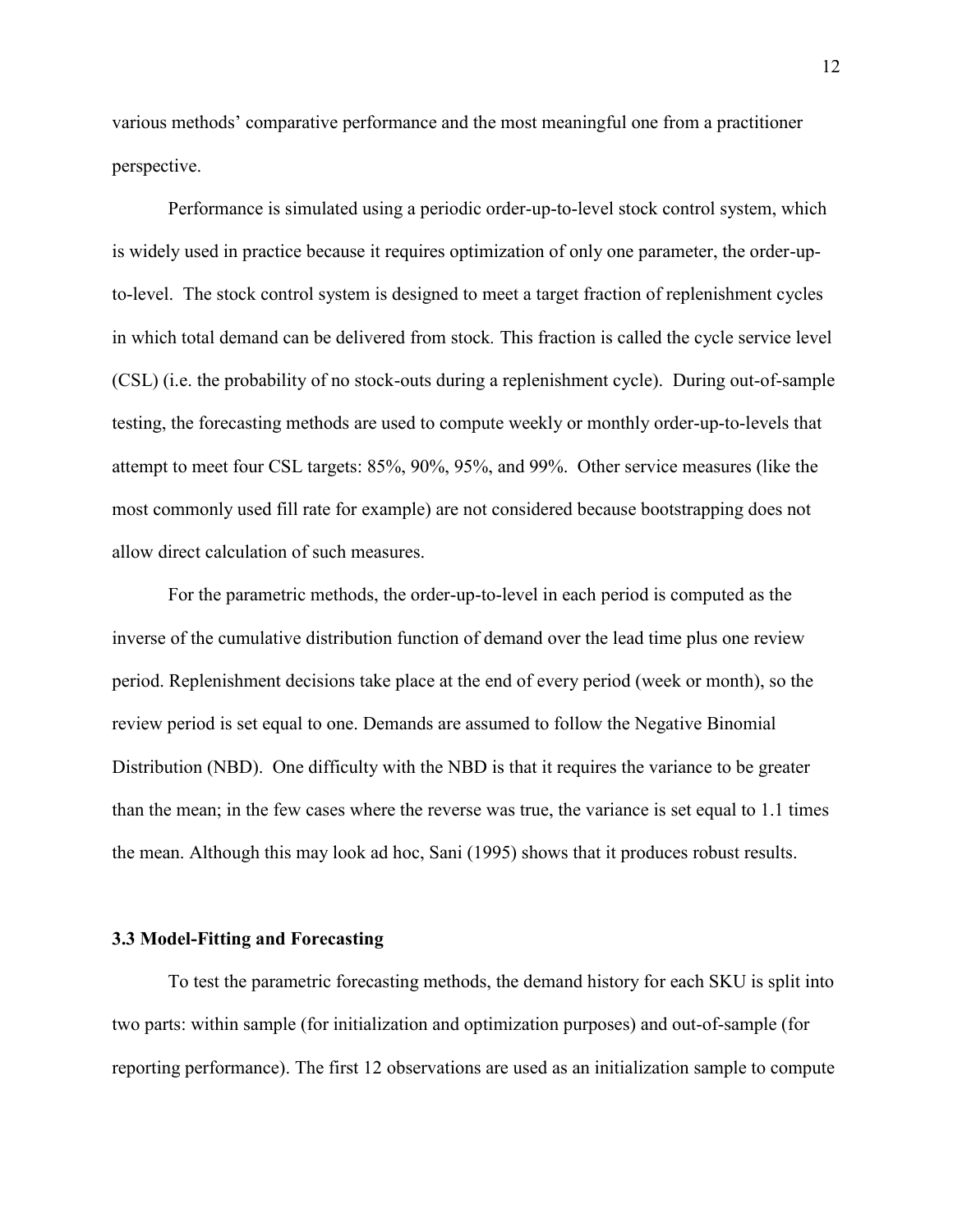various methods' comparative performance and the most meaningful one from a practitioner perspective.

Performance is simulated using a periodic order-up-to-level stock control system, which is widely used in practice because it requires optimization of only one parameter, the order-upto-level. The stock control system is designed to meet a target fraction of replenishment cycles in which total demand can be delivered from stock*.* This fraction is called the cycle service level (CSL) (i.e. the probability of no stock-outs during a replenishment cycle). During out-of-sample testing, the forecasting methods are used to compute weekly or monthly order-up-to-levels that attempt to meet four CSL targets: 85%, 90%, 95%, and 99%. Other service measures (like the most commonly used fill rate for example) are not considered because bootstrapping does not allow direct calculation of such measures.

 For the parametric methods, the order-up-to-level in each period is computed as the inverse of the cumulative distribution function of demand over the lead time plus one review period. Replenishment decisions take place at the end of every period (week or month), so the review period is set equal to one. Demands are assumed to follow the Negative Binomial Distribution (NBD). One difficulty with the NBD is that it requires the variance to be greater than the mean; in the few cases where the reverse was true, the variance is set equal to 1.1 times the mean. Although this may look ad hoc, Sani (1995) shows that it produces robust results.

#### **3.3 Model-Fitting and Forecasting**

To test the parametric forecasting methods, the demand history for each SKU is split into two parts: within sample (for initialization and optimization purposes) and out-of-sample (for reporting performance). The first 12 observations are used as an initialization sample to compute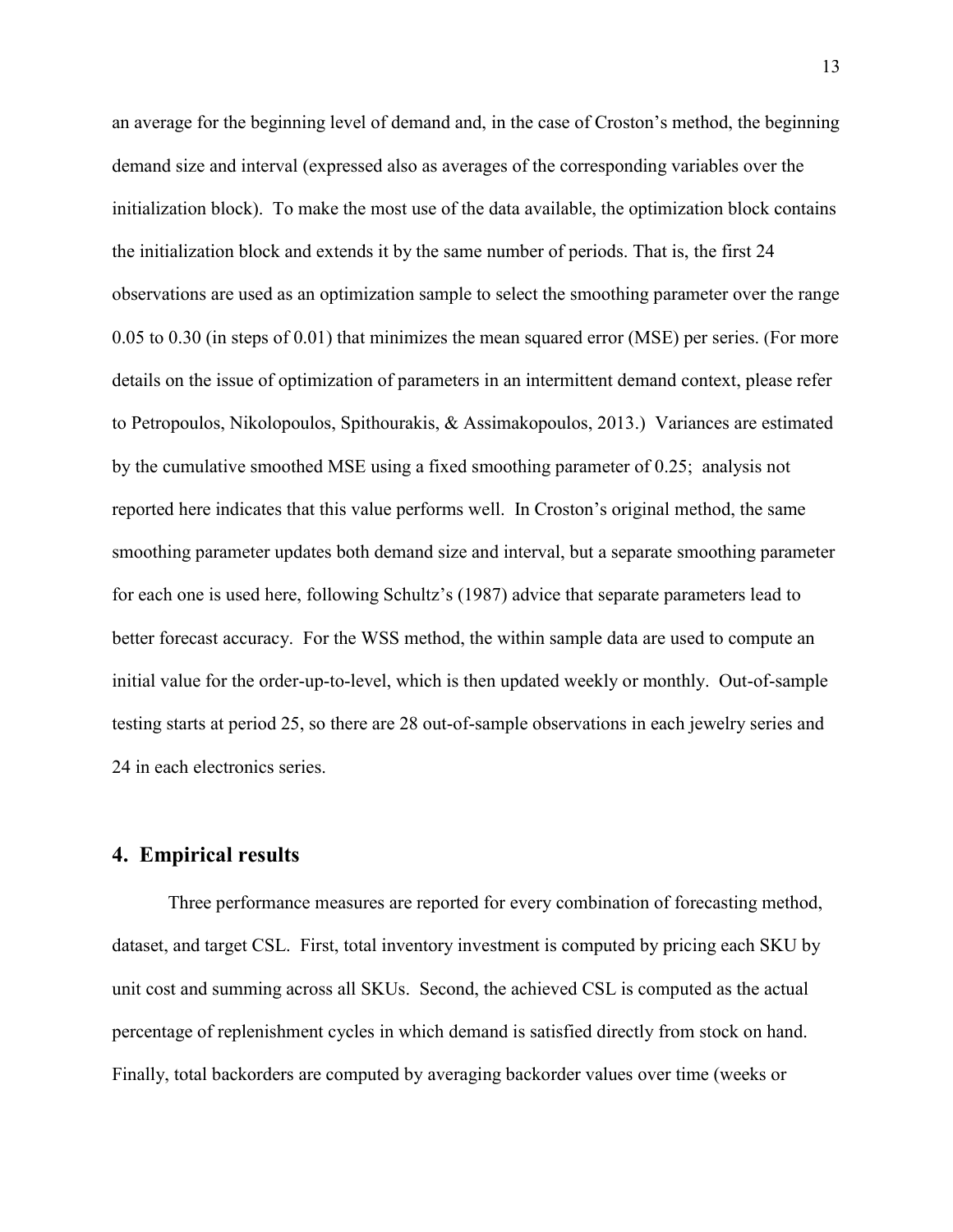an average for the beginning level of demand and, in the case of Croston's method, the beginning demand size and interval (expressed also as averages of the corresponding variables over the initialization block). To make the most use of the data available, the optimization block contains the initialization block and extends it by the same number of periods. That is, the first 24 observations are used as an optimization sample to select the smoothing parameter over the range 0.05 to 0.30 (in steps of 0.01) that minimizes the mean squared error (MSE) per series. (For more details on the issue of optimization of parameters in an intermittent demand context, please refer to Petropoulos, Nikolopoulos, Spithourakis, & Assimakopoulos, 2013.) Variances are estimated by the cumulative smoothed MSE using a fixed smoothing parameter of 0.25; analysis not reported here indicates that this value performs well. In Croston's original method, the same smoothing parameter updates both demand size and interval, but a separate smoothing parameter for each one is used here, following Schultz's (1987) advice that separate parameters lead to better forecast accuracy. For the WSS method, the within sample data are used to compute an initial value for the order-up-to-level, which is then updated weekly or monthly. Out-of-sample testing starts at period 25, so there are 28 out-of-sample observations in each jewelry series and 24 in each electronics series.

#### **4. Empirical results**

Three performance measures are reported for every combination of forecasting method, dataset, and target CSL. First, total inventory investment is computed by pricing each SKU by unit cost and summing across all SKUs. Second, the achieved CSL is computed as the actual percentage of replenishment cycles in which demand is satisfied directly from stock on hand. Finally, total backorders are computed by averaging backorder values over time (weeks or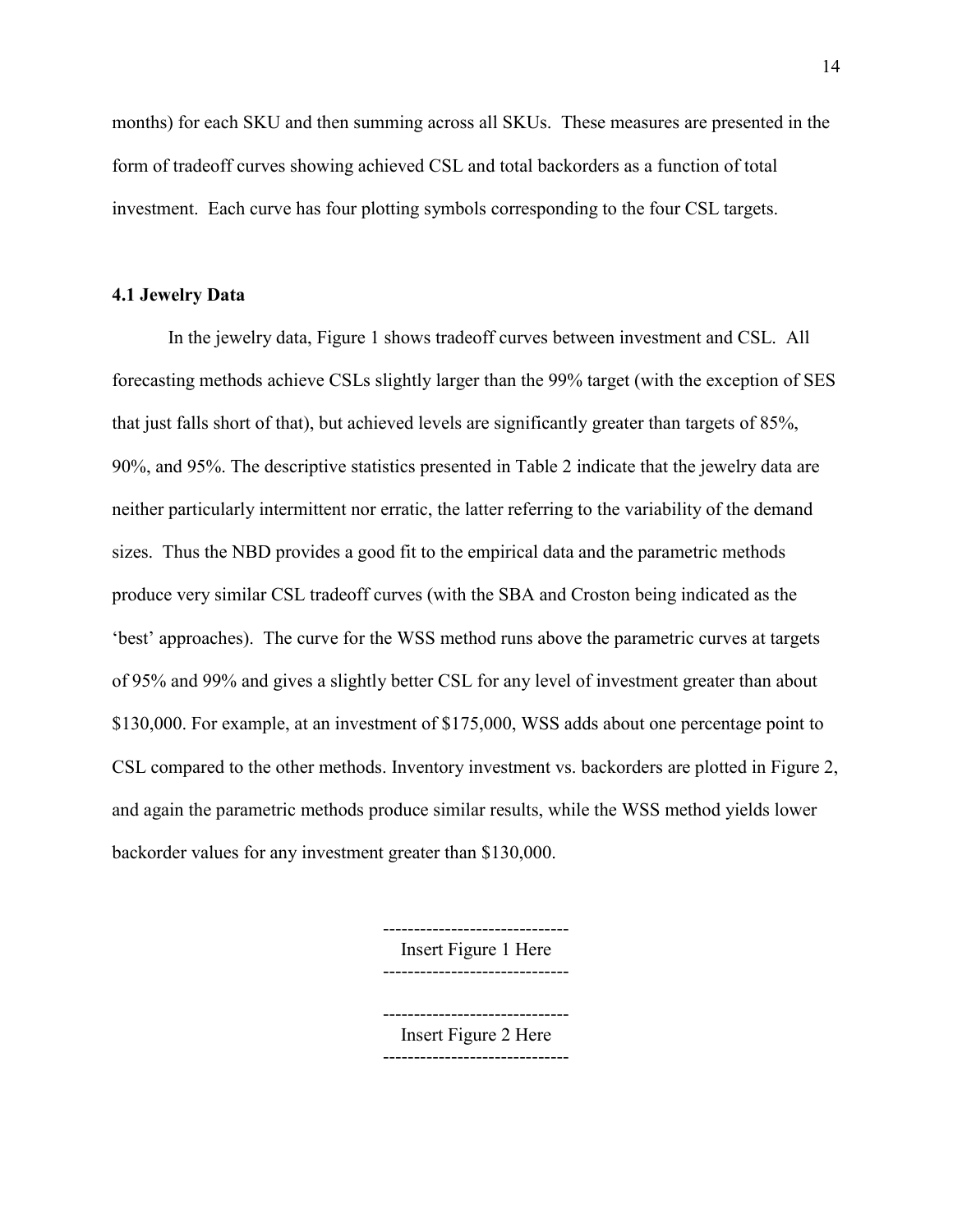months) for each SKU and then summing across all SKUs. These measures are presented in the form of tradeoff curves showing achieved CSL and total backorders as a function of total investment. Each curve has four plotting symbols corresponding to the four CSL targets.

#### **4.1 Jewelry Data**

In the jewelry data, Figure 1 shows tradeoff curves between investment and CSL. All forecasting methods achieve CSLs slightly larger than the 99% target (with the exception of SES that just falls short of that), but achieved levels are significantly greater than targets of 85%, 90%, and 95%. The descriptive statistics presented in Table 2 indicate that the jewelry data are neither particularly intermittent nor erratic, the latter referring to the variability of the demand sizes. Thus the NBD provides a good fit to the empirical data and the parametric methods produce very similar CSL tradeoff curves (with the SBA and Croston being indicated as the 'best' approaches). The curve for the WSS method runs above the parametric curves at targets of 95% and 99% and gives a slightly better CSL for any level of investment greater than about \$130,000. For example, at an investment of \$175,000, WSS adds about one percentage point to CSL compared to the other methods. Inventory investment vs. backorders are plotted in Figure 2, and again the parametric methods produce similar results, while the WSS method yields lower backorder values for any investment greater than \$130,000.

> Insert Figure 1 Here ------------------------------

------------------------------

------------------------------ Insert Figure 2 Here ------------------------------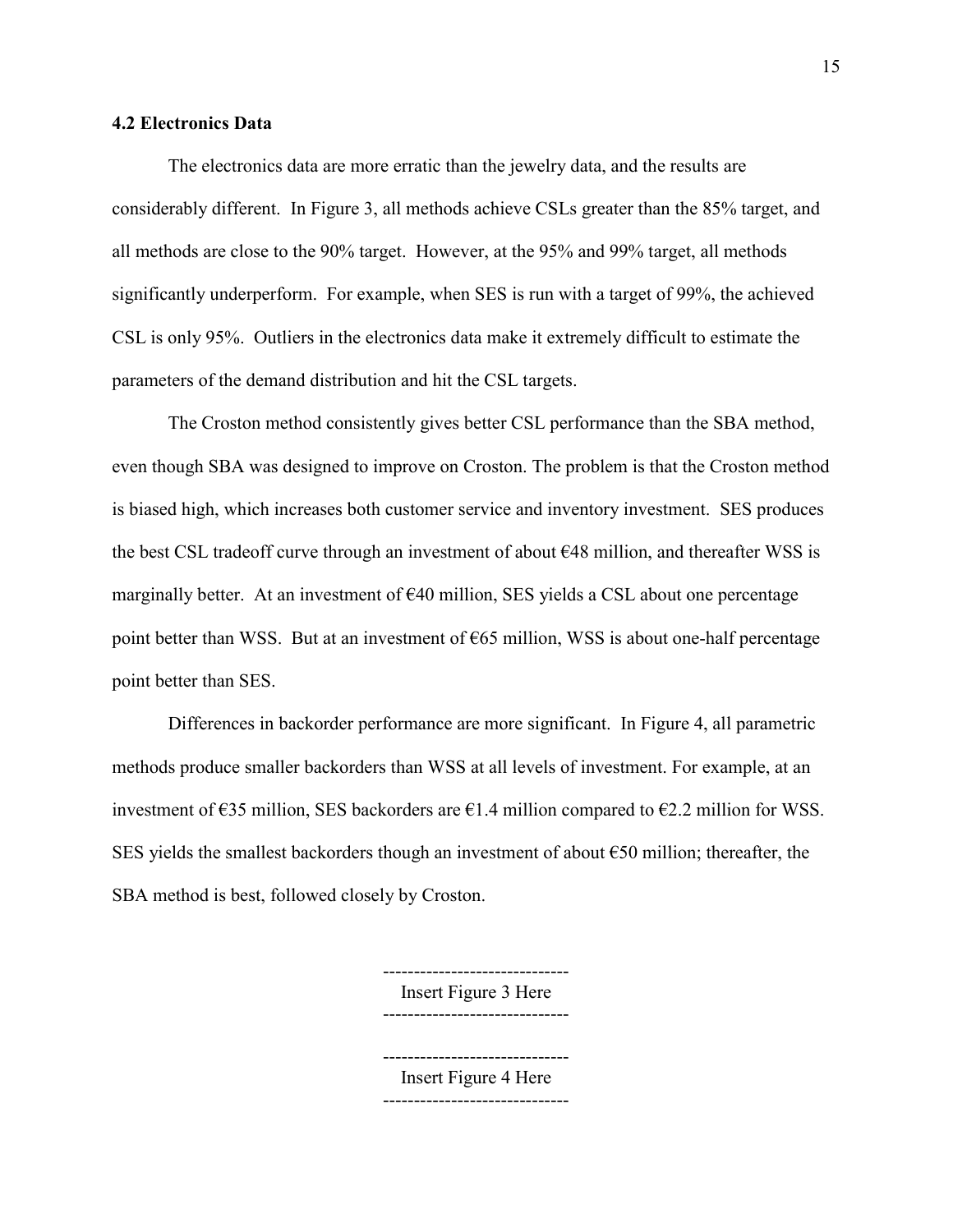#### **4.2 Electronics Data**

The electronics data are more erratic than the jewelry data, and the results are considerably different. In Figure 3, all methods achieve CSLs greater than the 85% target, and all methods are close to the 90% target. However, at the 95% and 99% target, all methods significantly underperform. For example, when SES is run with a target of 99%, the achieved CSL is only 95%. Outliers in the electronics data make it extremely difficult to estimate the parameters of the demand distribution and hit the CSL targets.

The Croston method consistently gives better CSL performance than the SBA method, even though SBA was designed to improve on Croston. The problem is that the Croston method is biased high, which increases both customer service and inventory investment. SES produces the best CSL tradeoff curve through an investment of about €48 million, and thereafter WSS is marginally better. At an investment of  $\epsilon$ 40 million, SES yields a CSL about one percentage point better than WSS. But at an investment of  $\epsilon$ 65 million, WSS is about one-half percentage point better than SES.

Differences in backorder performance are more significant. In Figure 4, all parametric methods produce smaller backorders than WSS at all levels of investment. For example, at an investment of  $\epsilon$ 35 million, SES backorders are  $\epsilon$ 1.4 million compared to  $\epsilon$ 2.2 million for WSS. SES yields the smallest backorders though an investment of about  $\epsilon$ 50 million; thereafter, the SBA method is best, followed closely by Croston.

> ------------------------------ Insert Figure 3 Here

------------------------------

------------------------------

Insert Figure 4 Here ------------------------------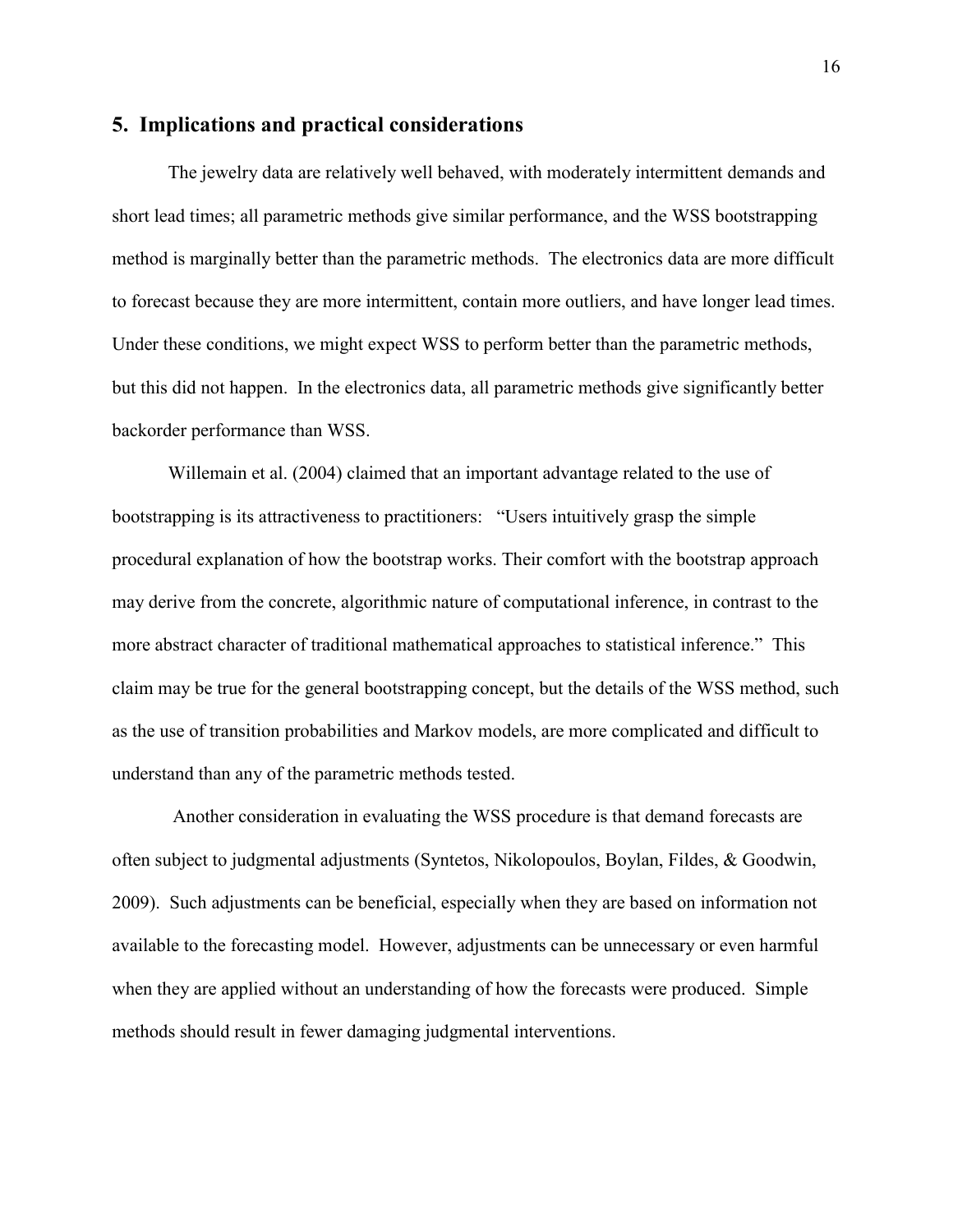#### **5. Implications and practical considerations**

The jewelry data are relatively well behaved, with moderately intermittent demands and short lead times; all parametric methods give similar performance, and the WSS bootstrapping method is marginally better than the parametric methods. The electronics data are more difficult to forecast because they are more intermittent, contain more outliers, and have longer lead times. Under these conditions, we might expect WSS to perform better than the parametric methods, but this did not happen. In the electronics data, all parametric methods give significantly better backorder performance than WSS.

Willemain et al. (2004) claimed that an important advantage related to the use of bootstrapping is its attractiveness to practitioners: "Users intuitively grasp the simple procedural explanation of how the bootstrap works. Their comfort with the bootstrap approach may derive from the concrete, algorithmic nature of computational inference, in contrast to the more abstract character of traditional mathematical approaches to statistical inference." This claim may be true for the general bootstrapping concept, but the details of the WSS method, such as the use of transition probabilities and Markov models, are more complicated and difficult to understand than any of the parametric methods tested.

 Another consideration in evaluating the WSS procedure is that demand forecasts are often subject to judgmental adjustments (Syntetos, Nikolopoulos, Boylan, Fildes, & Goodwin, 2009). Such adjustments can be beneficial, especially when they are based on information not available to the forecasting model. However, adjustments can be unnecessary or even harmful when they are applied without an understanding of how the forecasts were produced. Simple methods should result in fewer damaging judgmental interventions.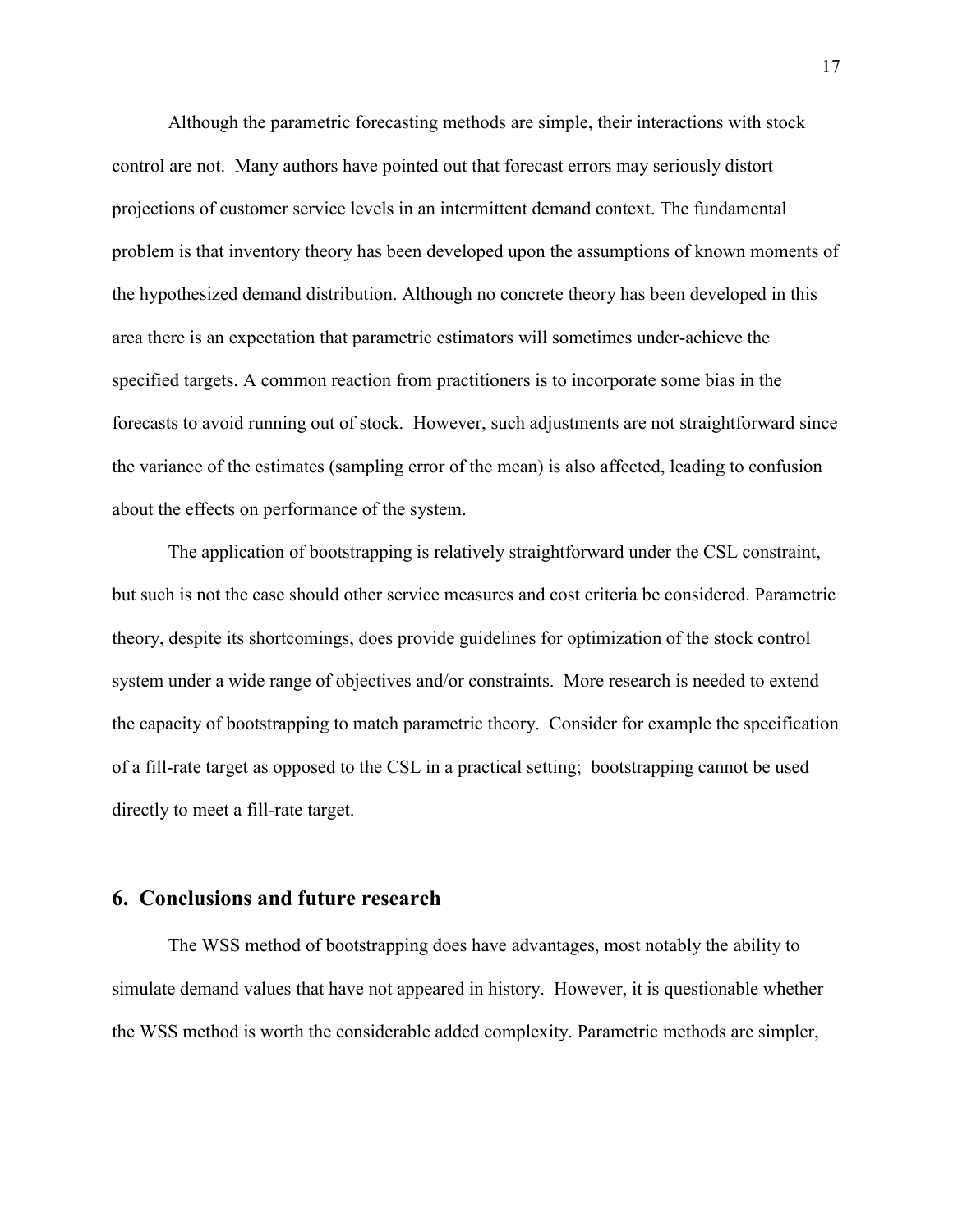Although the parametric forecasting methods are simple, their interactions with stock control are not. Many authors have pointed out that forecast errors may seriously distort projections of customer service levels in an intermittent demand context. The fundamental problem is that inventory theory has been developed upon the assumptions of known moments of the hypothesized demand distribution. Although no concrete theory has been developed in this area there is an expectation that parametric estimators will sometimes under-achieve the specified targets. A common reaction from practitioners is to incorporate some bias in the forecasts to avoid running out of stock. However, such adjustments are not straightforward since the variance of the estimates (sampling error of the mean) is also affected, leading to confusion about the effects on performance of the system.

The application of bootstrapping is relatively straightforward under the CSL constraint, but such is not the case should other service measures and cost criteria be considered. Parametric theory, despite its shortcomings, does provide guidelines for optimization of the stock control system under a wide range of objectives and/or constraints. More research is needed to extend the capacity of bootstrapping to match parametric theory. Consider for example the specification of a fill-rate target as opposed to the CSL in a practical setting; bootstrapping cannot be used directly to meet a fill-rate target.

#### **6. Conclusions and future research**

The WSS method of bootstrapping does have advantages, most notably the ability to simulate demand values that have not appeared in history. However, it is questionable whether the WSS method is worth the considerable added complexity. Parametric methods are simpler,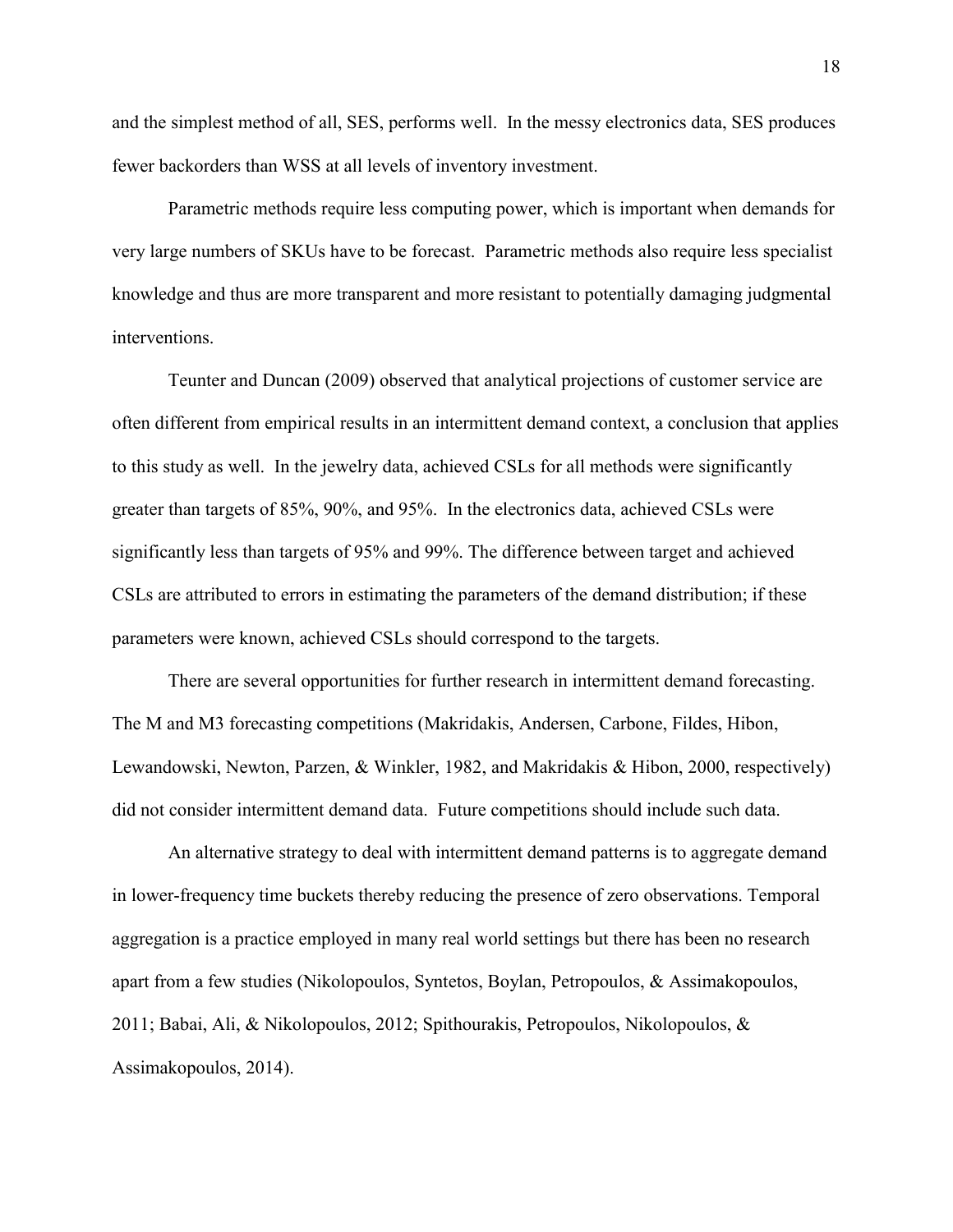and the simplest method of all, SES, performs well. In the messy electronics data, SES produces fewer backorders than WSS at all levels of inventory investment.

Parametric methods require less computing power, which is important when demands for very large numbers of SKUs have to be forecast. Parametric methods also require less specialist knowledge and thus are more transparent and more resistant to potentially damaging judgmental interventions.

 Teunter and Duncan (2009) observed that analytical projections of customer service are often different from empirical results in an intermittent demand context, a conclusion that applies to this study as well. In the jewelry data, achieved CSLs for all methods were significantly greater than targets of 85%, 90%, and 95%. In the electronics data, achieved CSLs were significantly less than targets of 95% and 99%. The difference between target and achieved CSLs are attributed to errors in estimating the parameters of the demand distribution; if these parameters were known, achieved CSLs should correspond to the targets.

There are several opportunities for further research in intermittent demand forecasting. The M and M3 forecasting competitions (Makridakis, Andersen, Carbone, Fildes, Hibon, Lewandowski, Newton, Parzen, & Winkler, 1982, and Makridakis & Hibon, 2000, respectively) did not consider intermittent demand data. Future competitions should include such data.

An alternative strategy to deal with intermittent demand patterns is to aggregate demand in lower-frequency time buckets thereby reducing the presence of zero observations. Temporal aggregation is a practice employed in many real world settings but there has been no research apart from a few studies (Nikolopoulos, Syntetos, Boylan, Petropoulos, & Assimakopoulos, 2011; Babai, Ali, & Nikolopoulos, 2012; Spithourakis, Petropoulos, Nikolopoulos, & Assimakopoulos, 2014).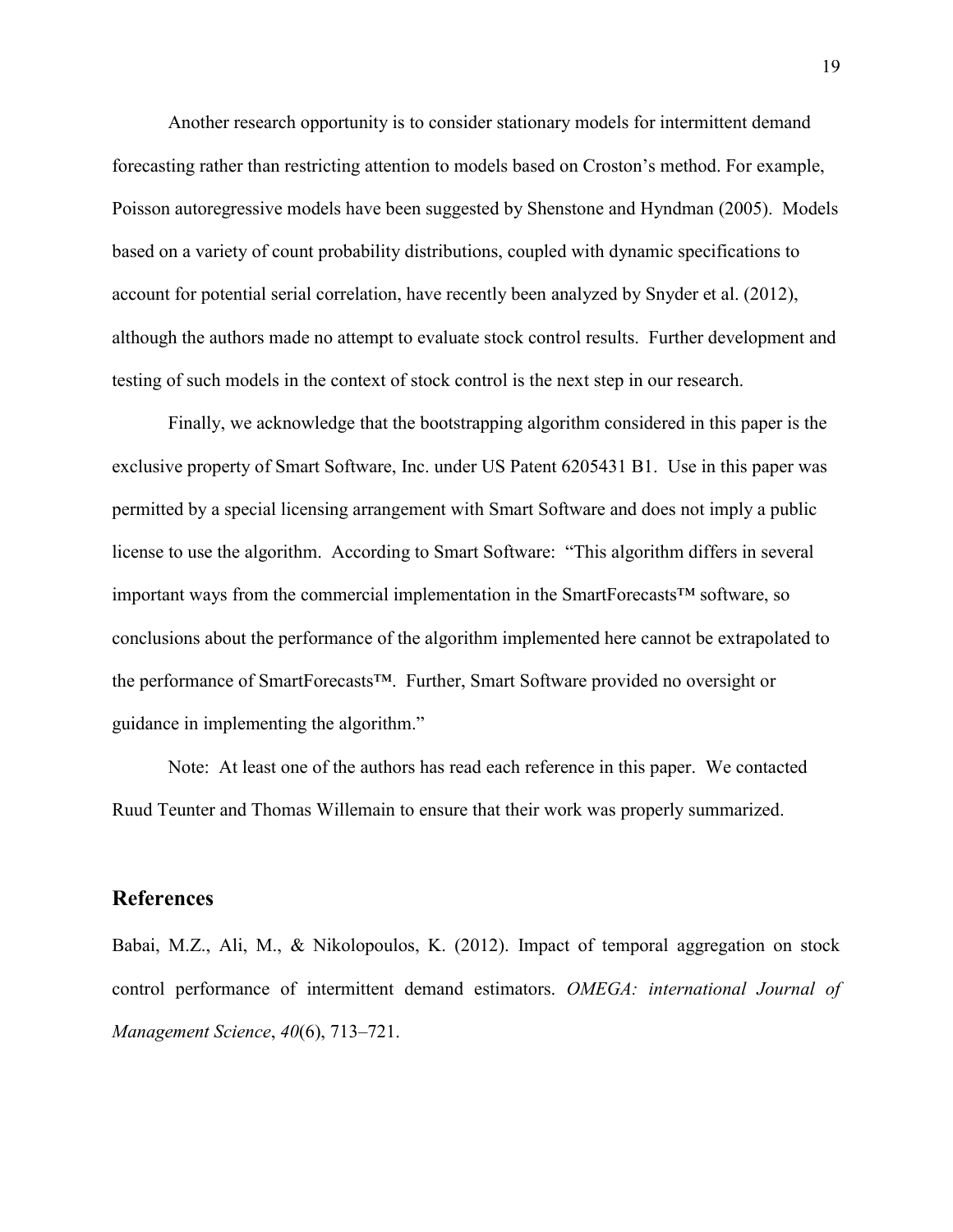Another research opportunity is to consider stationary models for intermittent demand forecasting rather than restricting attention to models based on Croston's method. For example, Poisson autoregressive models have been suggested by Shenstone and Hyndman (2005). Models based on a variety of count probability distributions, coupled with dynamic specifications to account for potential serial correlation, have recently been analyzed by Snyder et al. (2012), although the authors made no attempt to evaluate stock control results. Further development and testing of such models in the context of stock control is the next step in our research.

 Finally, we acknowledge that the bootstrapping algorithm considered in this paper is the exclusive property of Smart Software, Inc. under US Patent 6205431 B1. Use in this paper was permitted by a special licensing arrangement with Smart Software and does not imply a public license to use the algorithm. According to Smart Software: "This algorithm differs in several important ways from the commercial implementation in the SmartForecasts™ software, so conclusions about the performance of the algorithm implemented here cannot be extrapolated to the performance of SmartForecasts™. Further, Smart Software provided no oversight or guidance in implementing the algorithm."

Note: At least one of the authors has read each reference in this paper. We contacted Ruud Teunter and Thomas Willemain to ensure that their work was properly summarized.

#### **References**

Babai, M.Z., Ali, M., & Nikolopoulos, K. (2012). Impact of temporal aggregation on stock control performance of intermittent demand estimators. *OMEGA: international Journal of Management Science*, *40*(6), 713–721.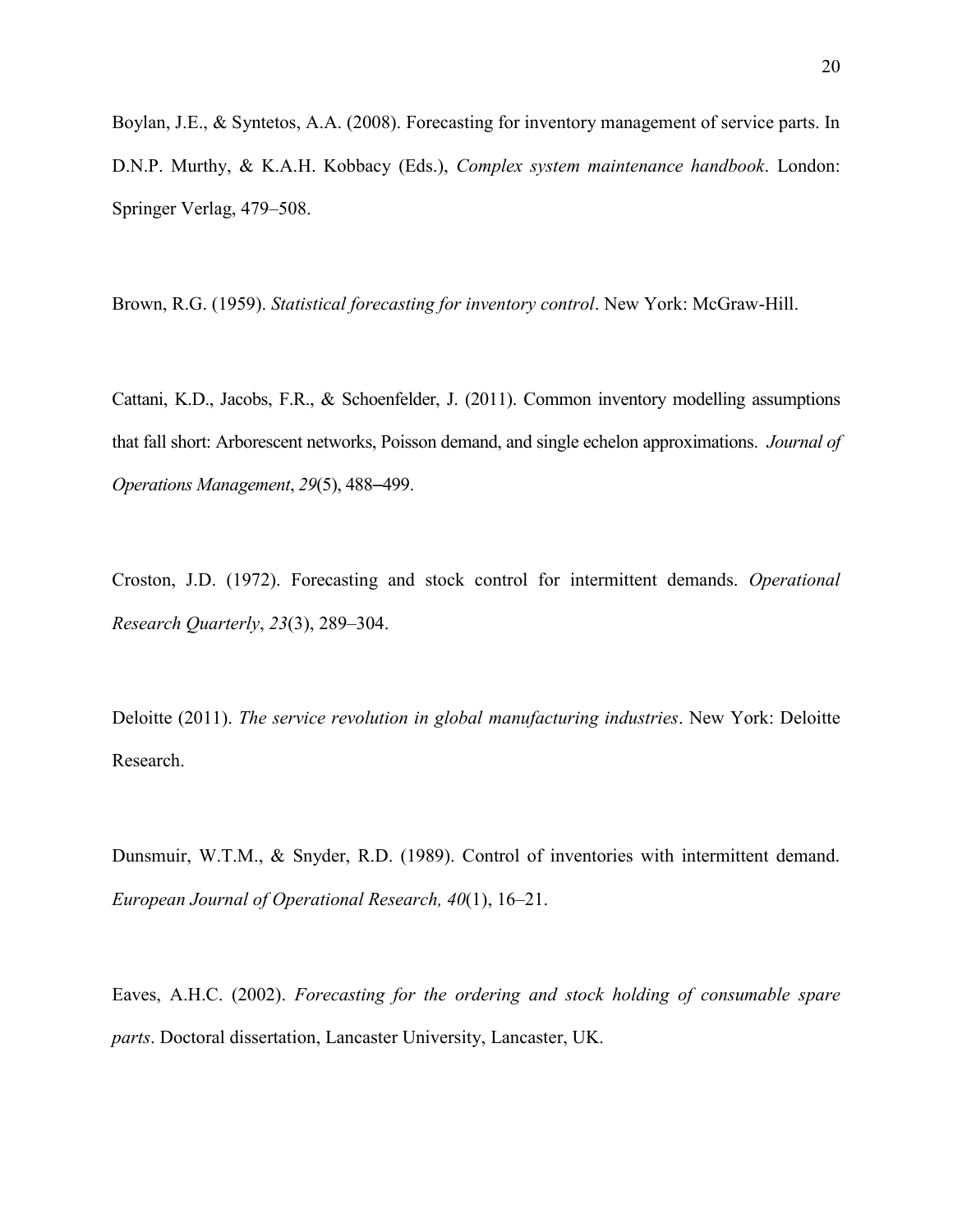Boylan, J.E., & Syntetos, A.A. (2008). Forecasting for inventory management of service parts. In D.N.P. Murthy, & K.A.H. Kobbacy (Eds.), *Complex system maintenance handbook*. London: Springer Verlag, 479–508.

Brown, R.G. (1959). *Statistical forecasting for inventory control*. New York: McGraw-Hill.

Cattani, K.D., Jacobs, F.R., & Schoenfelder, J. (2011). Common inventory modelling assumptions that fall short: Arborescent networks, Poisson demand, and single echelon approximations. *Journal of Operations Management*, *29*(5), 488–499.

Croston, J.D. (1972). Forecasting and stock control for intermittent demands. *Operational Research Quarterly*, *23*(3), 289–304.

Deloitte (2011). *The service revolution in global manufacturing industries*. New York: Deloitte Research.

Dunsmuir, W.T.M., & Snyder, R.D. (1989). Control of inventories with intermittent demand. *European Journal of Operational Research, 40*(1), 16–21.

Eaves, A.H.C. (2002). *Forecasting for the ordering and stock holding of consumable spare parts*. Doctoral dissertation, Lancaster University, Lancaster, UK.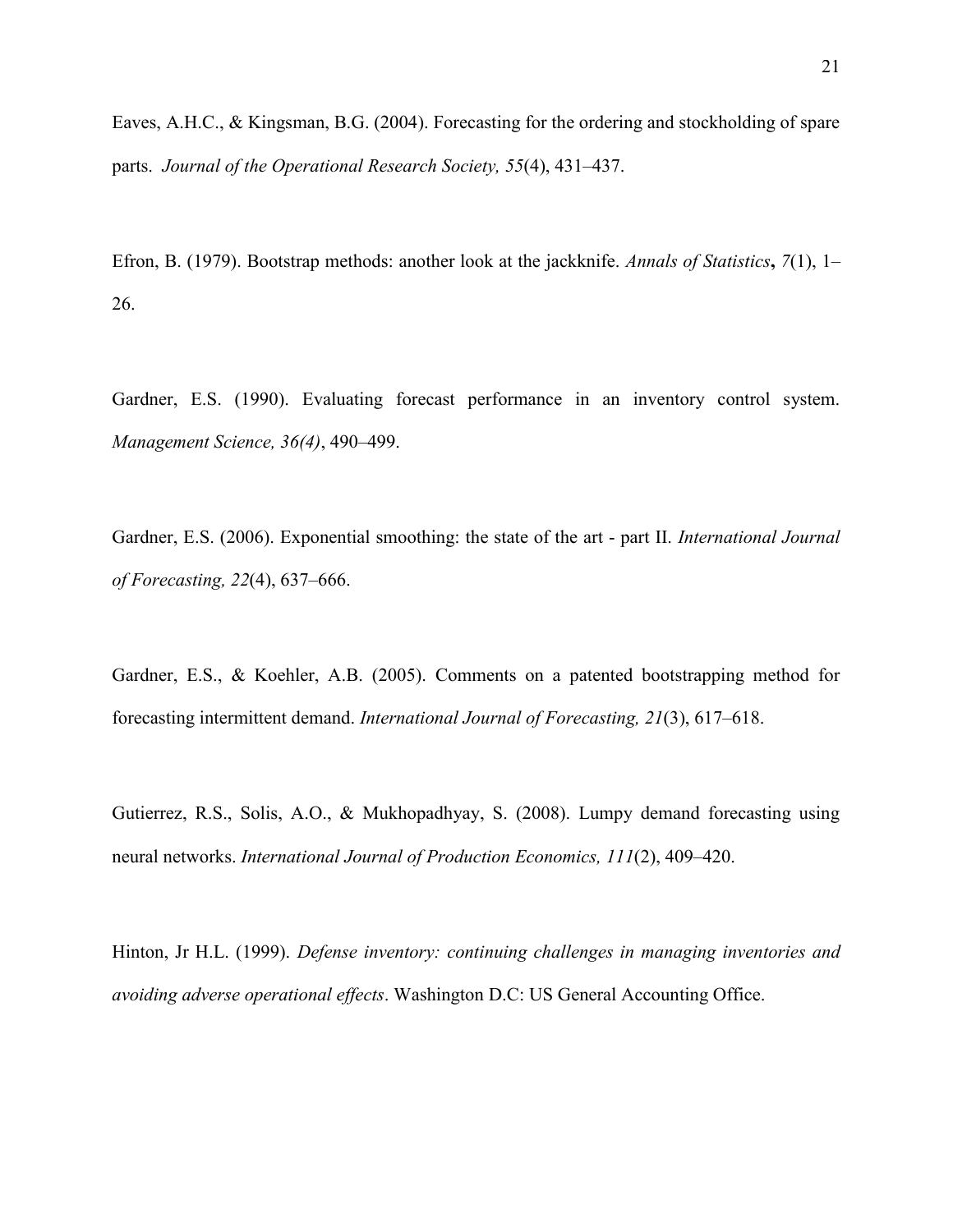Eaves, A.H.C., & Kingsman, B.G. (2004). Forecasting for the ordering and stockholding of spare parts. *Journal of the Operational Research Society, 55*(4), 431–437.

Efron, B. (1979). Bootstrap methods: another look at the jackknife. *Annals of Statistics***,** *7*(1), 1– 26.

Gardner, E.S. (1990). Evaluating forecast performance in an inventory control system. *Management Science, 36(4)*, 490–499.

Gardner, E.S. (2006). Exponential smoothing: the state of the art - part II. *International Journal of Forecasting, 22*(4), 637–666.

Gardner, E.S., & Koehler, A.B. (2005). Comments on a patented bootstrapping method for forecasting intermittent demand. *International Journal of Forecasting, 21*(3), 617–618.

Gutierrez, R.S., Solis, A.O., & Mukhopadhyay, S. (2008). Lumpy demand forecasting using neural networks. *International Journal of Production Economics, 111*(2), 409–420.

Hinton, Jr H.L. (1999). *Defense inventory: continuing challenges in managing inventories and avoiding adverse operational effects*. Washington D.C: US General Accounting Office.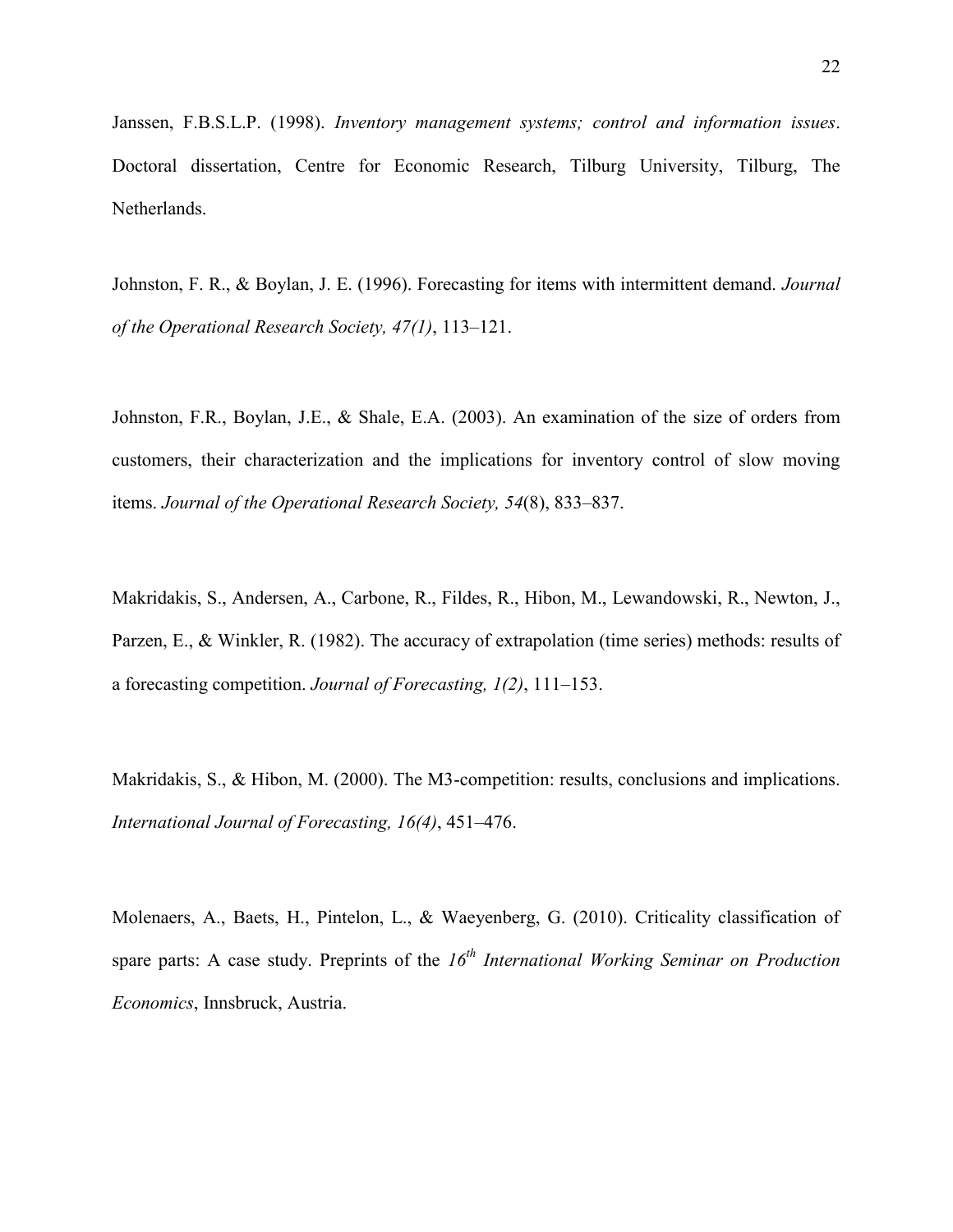Janssen, F.B.S.L.P. (1998). *Inventory management systems; control and information issues*. Doctoral dissertation, Centre for Economic Research, Tilburg University, Tilburg, The Netherlands.

Johnston, F. R., & Boylan, J. E. (1996). Forecasting for items with intermittent demand. *Journal of the Operational Research Society, 47(1)*, 113–121.

Johnston, F.R., Boylan, J.E., & Shale, E.A. (2003). An examination of the size of orders from customers, their characterization and the implications for inventory control of slow moving items. *Journal of the Operational Research Society, 54*(8), 833–837.

Makridakis, S., Andersen, A., Carbone, R., Fildes, R., Hibon, M., Lewandowski, R., Newton, J., Parzen, E., & Winkler, R. (1982). The accuracy of extrapolation (time series) methods: results of a forecasting competition. *Journal of Forecasting, 1(2)*, 111–153.

Makridakis, S., & Hibon, M. (2000). The M3-competition: results, conclusions and implications. *International Journal of Forecasting, 16(4)*, 451–476.

Molenaers, A., Baets, H., Pintelon, L., & Waeyenberg, G. (2010). Criticality classification of spare parts: A case study. Preprints of the *16th International Working Seminar on Production Economics*, Innsbruck, Austria.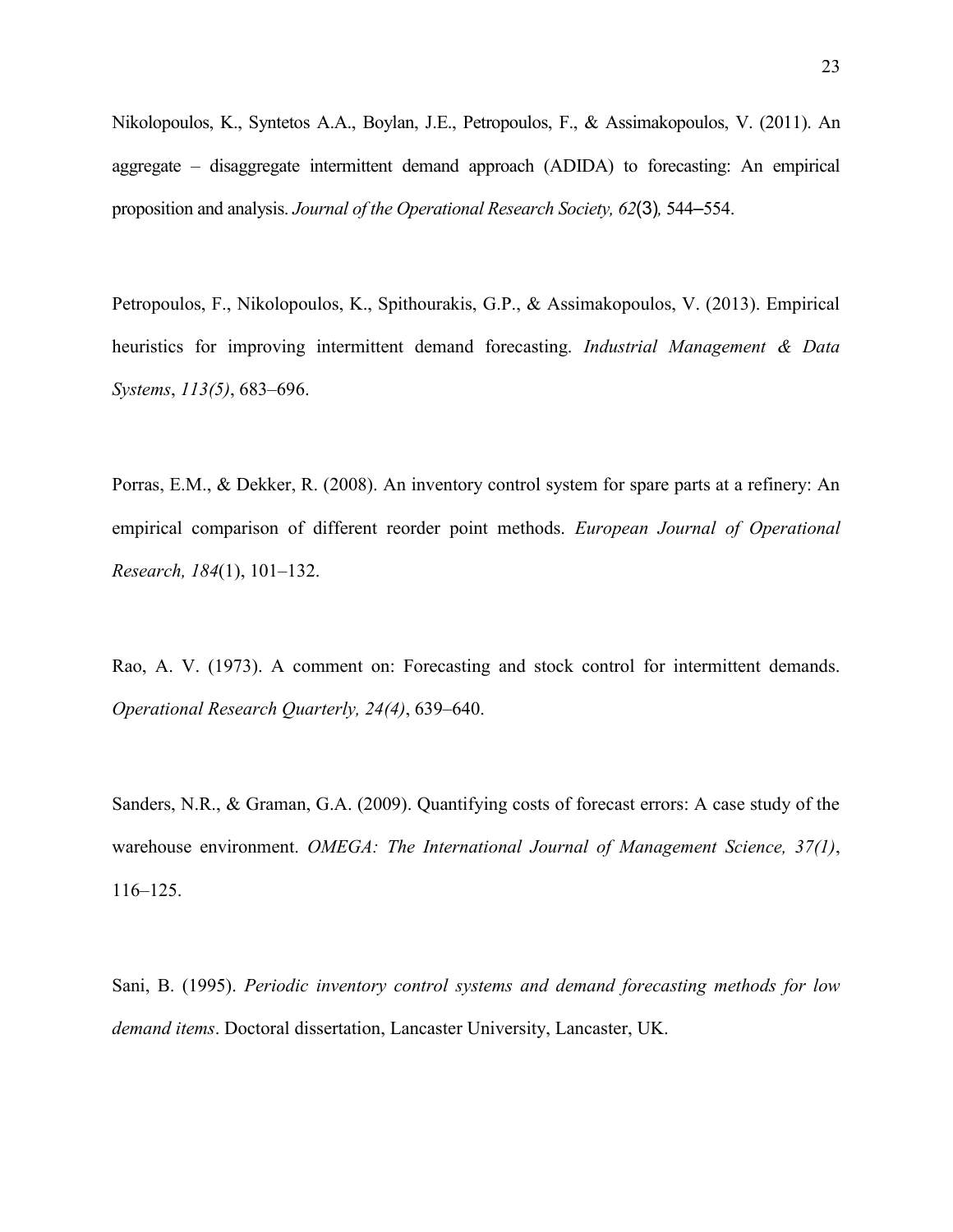Nikolopoulos, K., Syntetos A.A., Boylan, J.E., Petropoulos, F., & Assimakopoulos, V. (2011). An aggregate – disaggregate intermittent demand approach (ADIDA) to forecasting: An empirical proposition and analysis. *Journal of the Operational Research Society, 62*(3)*,* 544–554.

Petropoulos, F., Nikolopoulos, K., Spithourakis, G.P., & Assimakopoulos, V. (2013). Empirical heuristics for improving intermittent demand forecasting. *Industrial Management & Data Systems*, *113(5)*, 683–696.

Porras, E.M., & Dekker, R. (2008). An inventory control system for spare parts at a refinery: An empirical comparison of different reorder point methods. *European Journal of Operational Research, 184*(1), 101–132.

Rao, A. V. (1973). A comment on: Forecasting and stock control for intermittent demands. *Operational Research Quarterly, 24(4)*, 639–640.

Sanders, N.R., & Graman, G.A. (2009). Quantifying costs of forecast errors: A case study of the warehouse environment. *OMEGA: The International Journal of Management Science, 37(1)*, 116–125.

Sani, B. (1995). *Periodic inventory control systems and demand forecasting methods for low demand items*. Doctoral dissertation, Lancaster University, Lancaster, UK.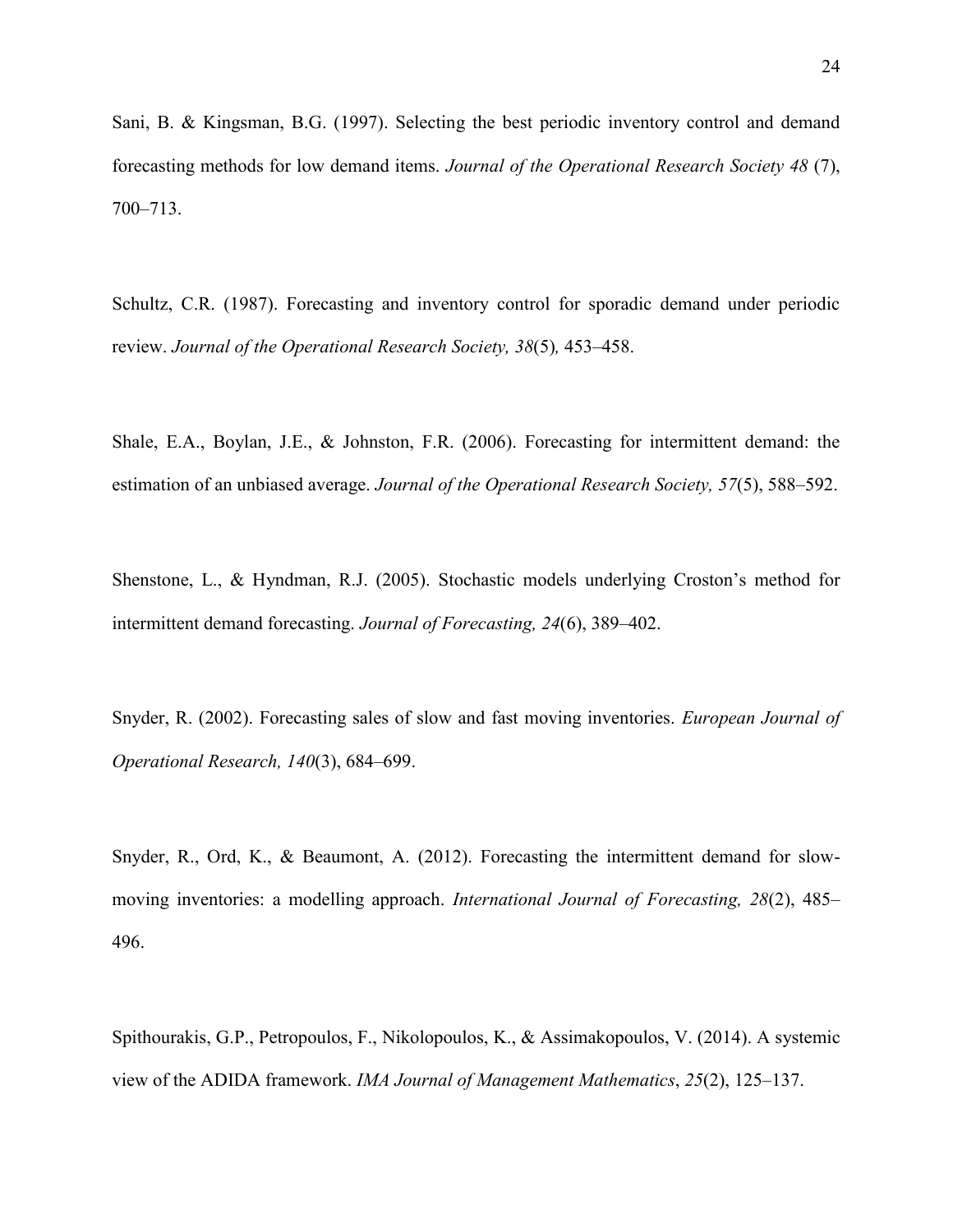Sani, B. & Kingsman, B.G. (1997). Selecting the best periodic inventory control and demand forecasting methods for low demand items. *Journal of the Operational Research Society 48* (7), 700–713.

Schultz, C.R. (1987). Forecasting and inventory control for sporadic demand under periodic review. *Journal of the Operational Research Society, 38*(5)*,* 453–458.

Shale, E.A., Boylan, J.E., & Johnston, F.R. (2006). Forecasting for intermittent demand: the estimation of an unbiased average. *Journal of the Operational Research Society, 57*(5), 588–592.

Shenstone, L., & Hyndman, R.J. (2005). Stochastic models underlying Croston's method for intermittent demand forecasting. *Journal of Forecasting, 24*(6), 389–402.

Snyder, R. (2002). Forecasting sales of slow and fast moving inventories. *European Journal of Operational Research, 140*(3), 684–699.

Snyder, R., Ord, K., & Beaumont, A. (2012). Forecasting the intermittent demand for slowmoving inventories: a modelling approach. *International Journal of Forecasting, 28*(2), 485– 496.

Spithourakis, G.P., Petropoulos, F., Nikolopoulos, K., & Assimakopoulos, V. (2014). A systemic view of the ADIDA framework. *IMA Journal of Management Mathematics*, *25*(2), 125–137.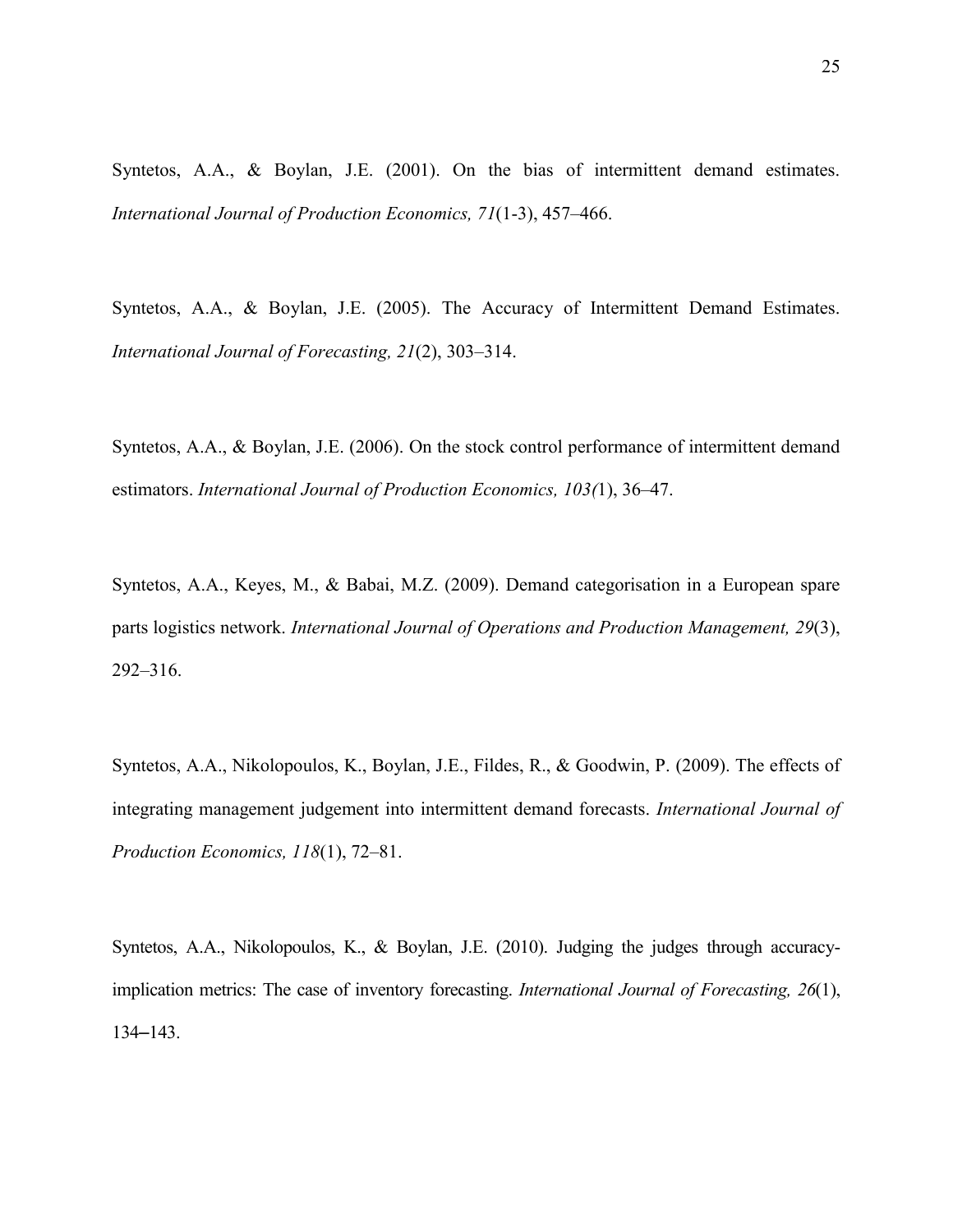Syntetos, A.A., & Boylan, J.E. (2001). On the bias of intermittent demand estimates. *International Journal of Production Economics, 71*(1-3), 457–466.

Syntetos, A.A., & Boylan, J.E. (2005). The Accuracy of Intermittent Demand Estimates. *International Journal of Forecasting, 21*(2), 303–314.

Syntetos, A.A., & Boylan, J.E. (2006). On the stock control performance of intermittent demand estimators. *International Journal of Production Economics, 103(*1), 36–47.

Syntetos, A.A., Keyes, M., & Babai, M.Z. (2009). Demand categorisation in a European spare parts logistics network. *International Journal of Operations and Production Management, 29*(3), 292–316.

Syntetos, A.A., Nikolopoulos, K., Boylan, J.E., Fildes, R., & Goodwin, P. (2009). The effects of integrating management judgement into intermittent demand forecasts. *International Journal of Production Economics, 118*(1), 72–81.

Syntetos, A.A., Nikolopoulos, K., & Boylan, J.E. (2010). Judging the judges through accuracyimplication metrics: The case of inventory forecasting. *International Journal of Forecasting, 26*(1), 134–143.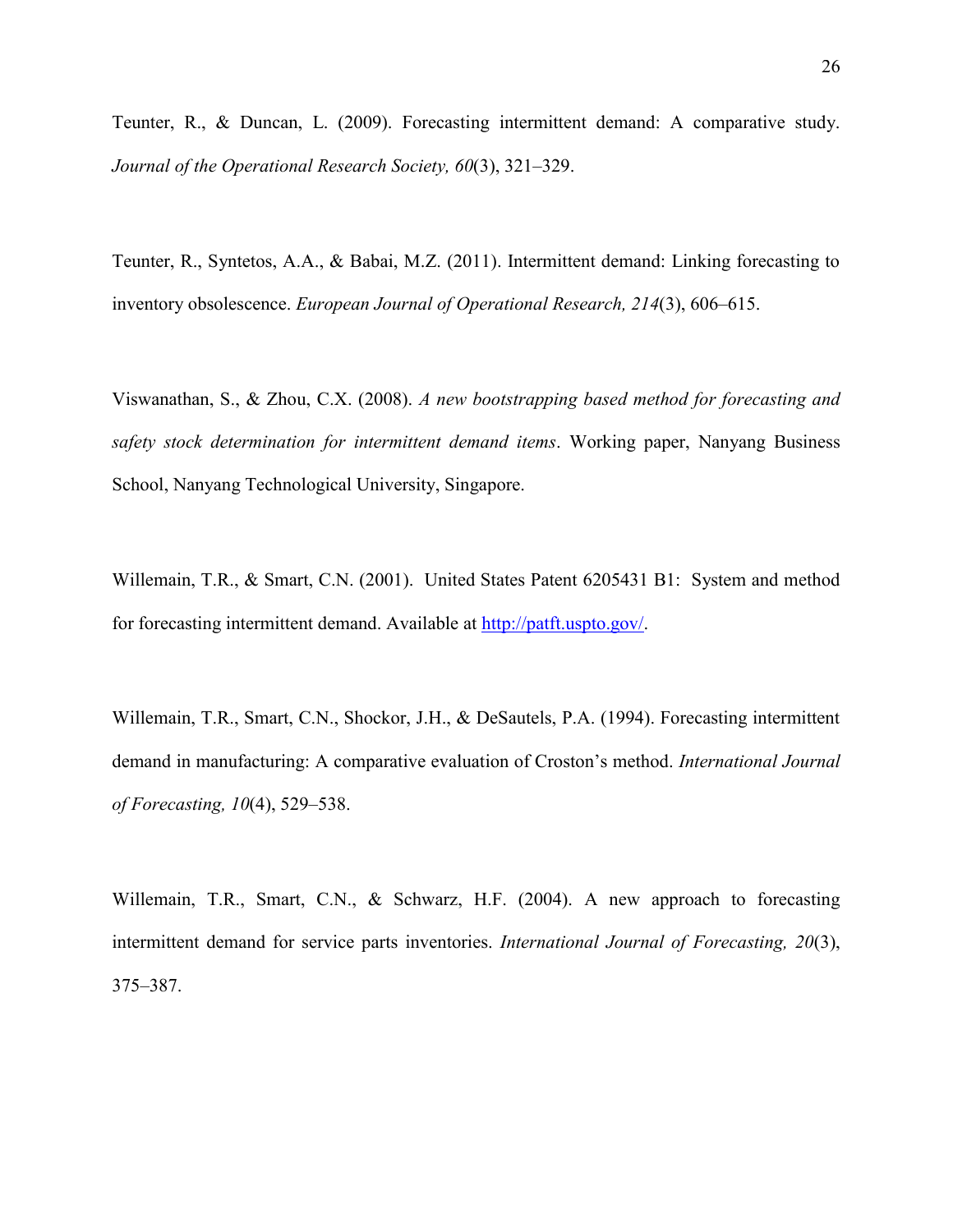Teunter, R., & Duncan, L. (2009). Forecasting intermittent demand: A comparative study. *Journal of the Operational Research Society, 60*(3), 321–329.

Teunter, R., Syntetos, A.A., & Babai, M.Z. (2011). Intermittent demand: Linking forecasting to inventory obsolescence. *European Journal of Operational Research, 214*(3), 606–615.

Viswanathan, S., & Zhou, C.X. (2008). *A new bootstrapping based method for forecasting and safety stock determination for intermittent demand items*. Working paper, Nanyang Business School, Nanyang Technological University, Singapore.

Willemain, T.R., & Smart, C.N. (2001). United States Patent 6205431 B1: System and method for forecasting intermittent demand. Available at [http://patft.uspto.gov/.](http://patft.uspto.gov/)

Willemain, T.R., Smart, C.N., Shockor, J.H., & DeSautels, P.A. (1994). Forecasting intermittent demand in manufacturing: A comparative evaluation of Croston's method. *International Journal of Forecasting, 10*(4), 529–538.

Willemain, T.R., Smart, C.N., & Schwarz, H.F. (2004). A new approach to forecasting intermittent demand for service parts inventories. *International Journal of Forecasting, 20*(3), 375–387.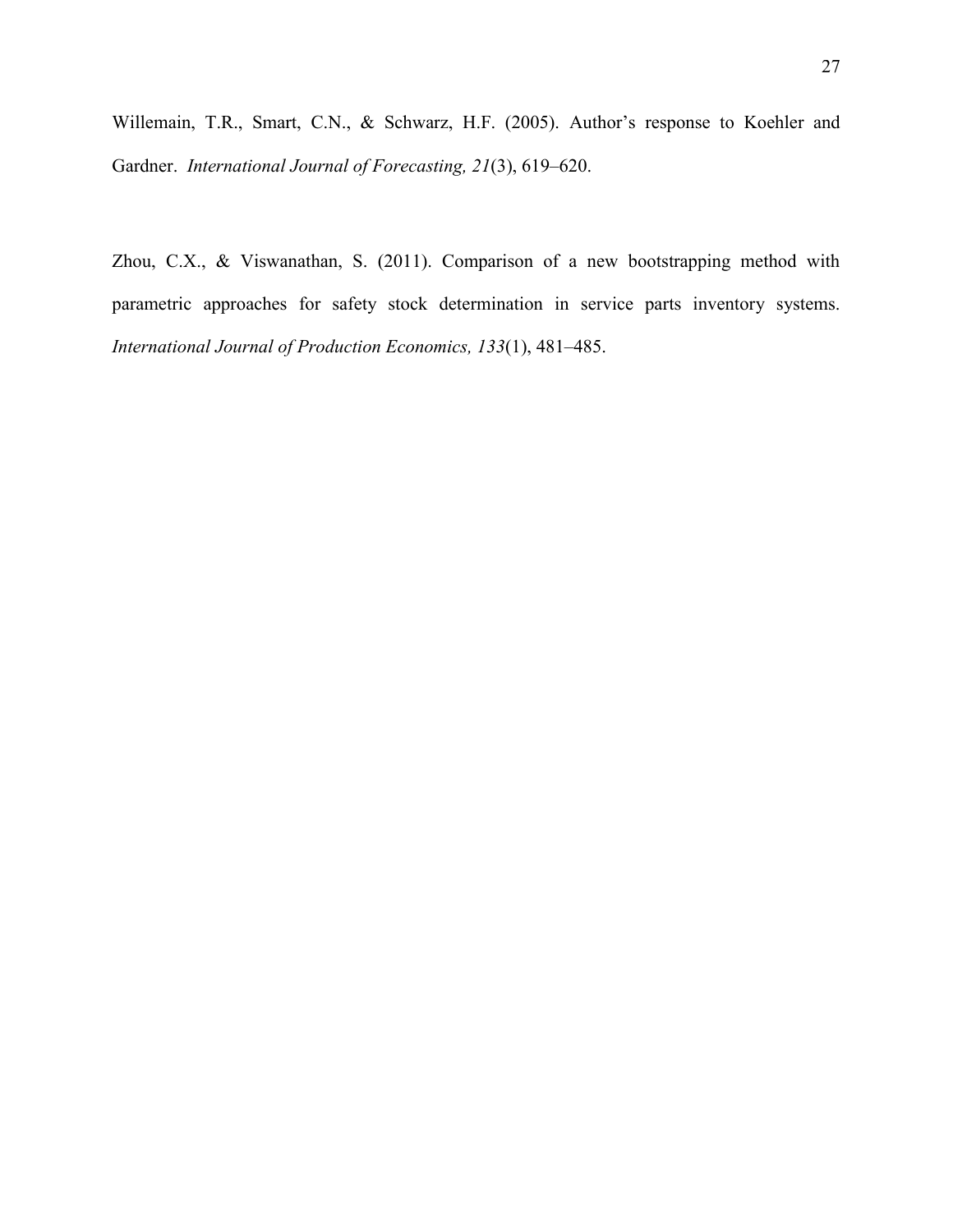Willemain, T.R., Smart, C.N., & Schwarz, H.F. (2005). Author's response to Koehler and Gardner. *International Journal of Forecasting, 21*(3), 619–620.

Zhou, C.X., & Viswanathan, S. (2011). Comparison of a new bootstrapping method with parametric approaches for safety stock determination in service parts inventory systems. *International Journal of Production Economics, 133*(1), 481–485.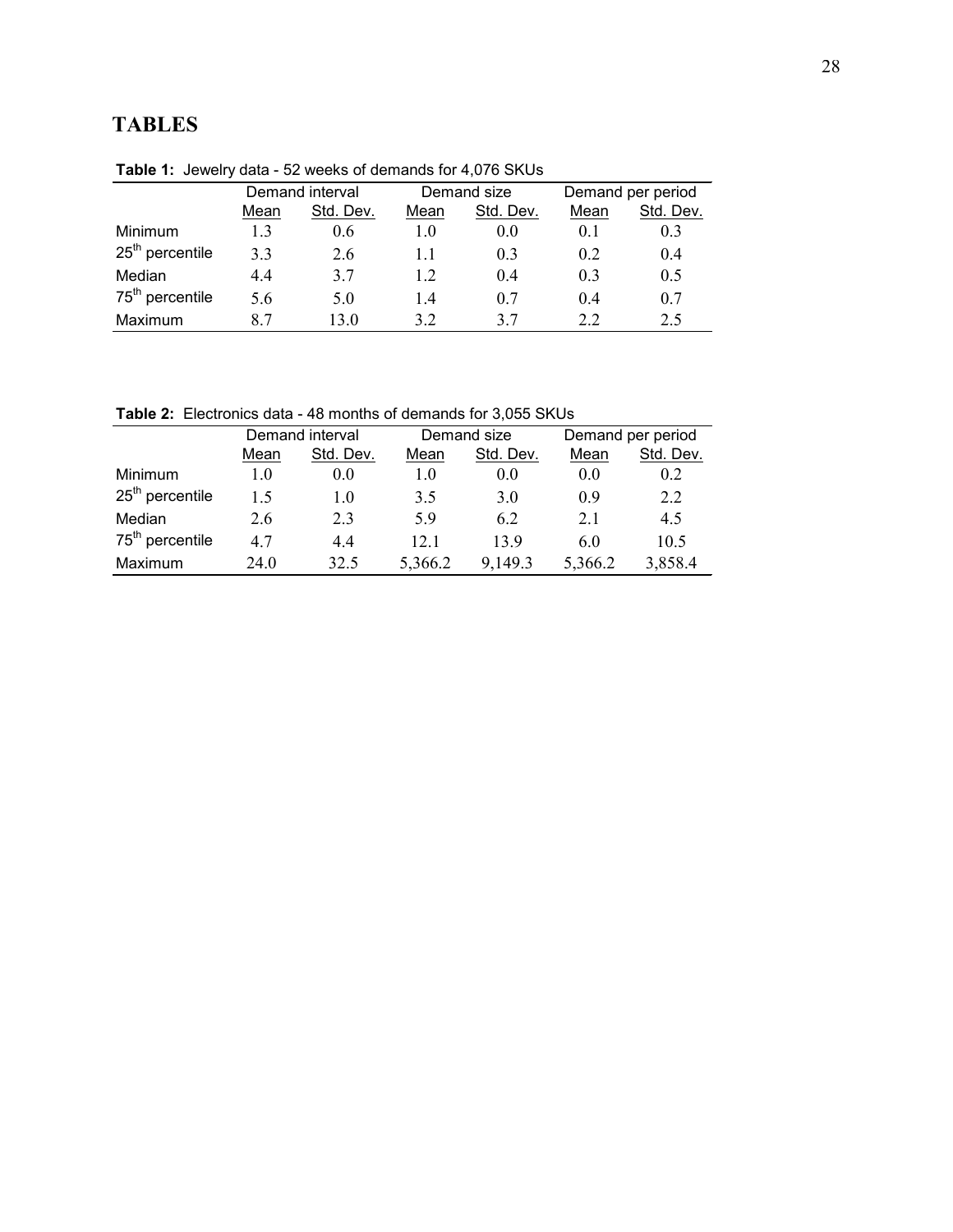# **TABLES**

| <b>EXAMPLE 1.</b> JEWELLY UGLA - JA WEENS UI UEITIAITUS TUL <del>-</del> JULU ONUS |                 |           |             |                |                   |           |  |  |  |
|------------------------------------------------------------------------------------|-----------------|-----------|-------------|----------------|-------------------|-----------|--|--|--|
|                                                                                    | Demand interval |           | Demand size |                | Demand per period |           |  |  |  |
|                                                                                    | Mean            | Std. Dev. | Mean        | Std. Dev.      | Mean              | Std. Dev. |  |  |  |
| Minimum                                                                            | 1.3             | 0.6       | 1.0         | 0.0            | 0.1               | 0.3       |  |  |  |
| $25th$ percentile                                                                  | 33              | 2.6       | 1.1         | 0.3            | 02                | 0.4       |  |  |  |
| Median                                                                             | 44              | 37        | 1.2         | 0 <sub>4</sub> | 0 <sup>3</sup>    | 0.5       |  |  |  |
| 75 <sup>th</sup> percentile                                                        | 5.6             | 5.0       | 1.4         | 0.7            | 04                | 0.7       |  |  |  |
| Maximum                                                                            | 87              | 13 0      | 32          | 37             | 2.2               | 2.5       |  |  |  |

**Table 1:** Jewelry data - 52 weeks of demands for 4,076 SKUs

**Table 2:** Electronics data - 48 months of demands for 3,055 SKUs

| <b>TWAIS E</b> EIGHT DIRECT TO THORRED OF GOTHGING TOP OROGO OF COO |                 |           |             |           |                   |           |  |  |  |
|---------------------------------------------------------------------|-----------------|-----------|-------------|-----------|-------------------|-----------|--|--|--|
|                                                                     | Demand interval |           | Demand size |           | Demand per period |           |  |  |  |
|                                                                     | Mean            | Std. Dev. | Mean        | Std. Dev. | Mean              | Std. Dev. |  |  |  |
| Minimum                                                             | 1.0             | 0.0       | 1.0         | 0.0       | 0.0               | 0.2       |  |  |  |
| $25th$ percentile                                                   | 15              | 1.0       | 3.5         | 3.0       | 09                | 2.2       |  |  |  |
| Median                                                              | 2.6             | 23        | 59          | 6.2       | 2.1               | 4.5       |  |  |  |
| 75 <sup>th</sup> percentile                                         | 47              | 44        | 12.1        | 139       | 60                | 10.5      |  |  |  |
| Maximum                                                             | 24.0            | 32.5      | 5,366.2     | 9,149.3   | 5,366.2           | 3,858.4   |  |  |  |
|                                                                     |                 |           |             |           |                   |           |  |  |  |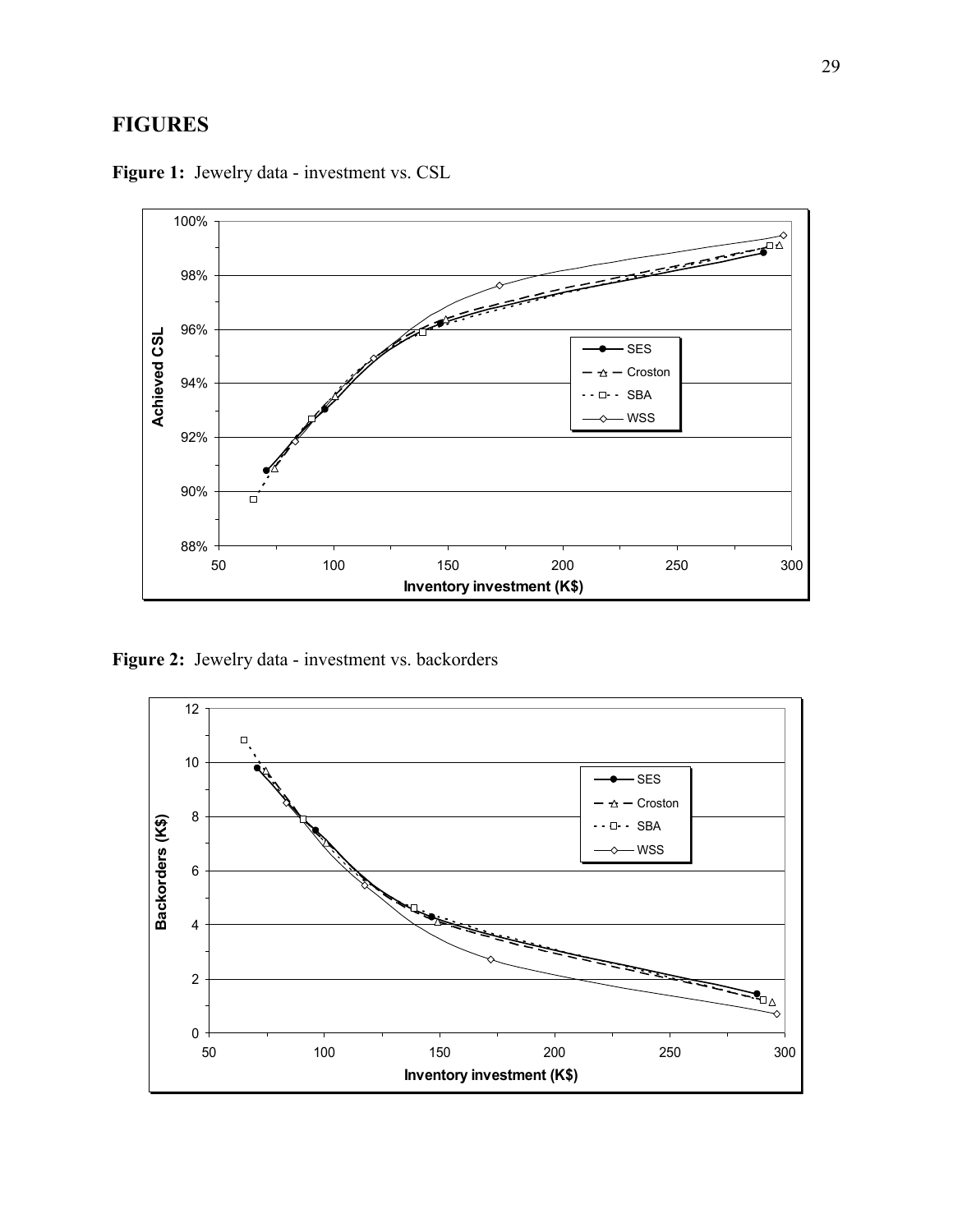# **FIGURES**



**Figure 1:** Jewelry data - investment vs. CSL

**Figure 2:** Jewelry data - investment vs. backorders